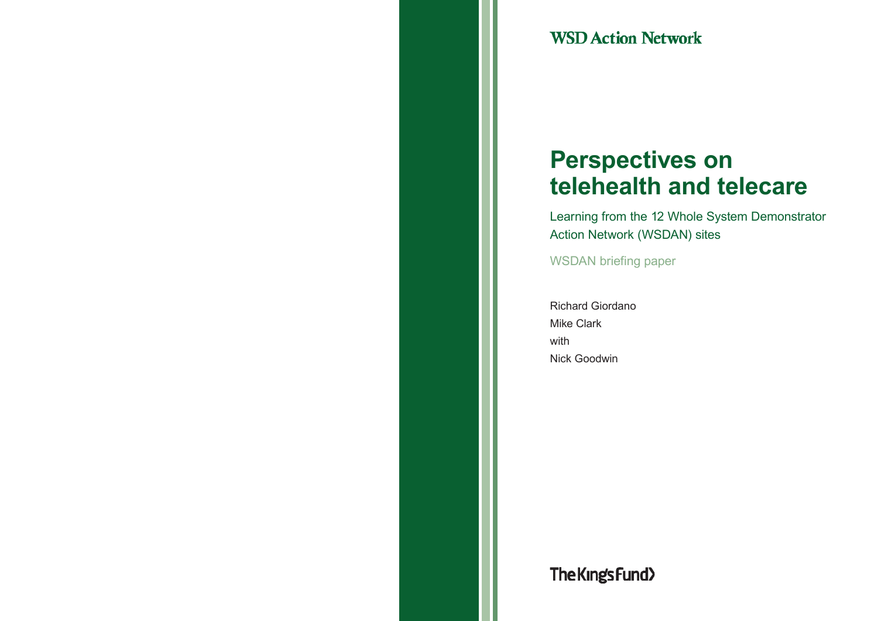**WSD Action Network** 

# **Perspectives on telehealth and telecare**

Learning from the 12 Whole System Demonstrator Action Network (WSDAN) sites

WSDAN briefing paper

Richard Giordano Mike Clark with Nick Goodwin

The Kings Fund>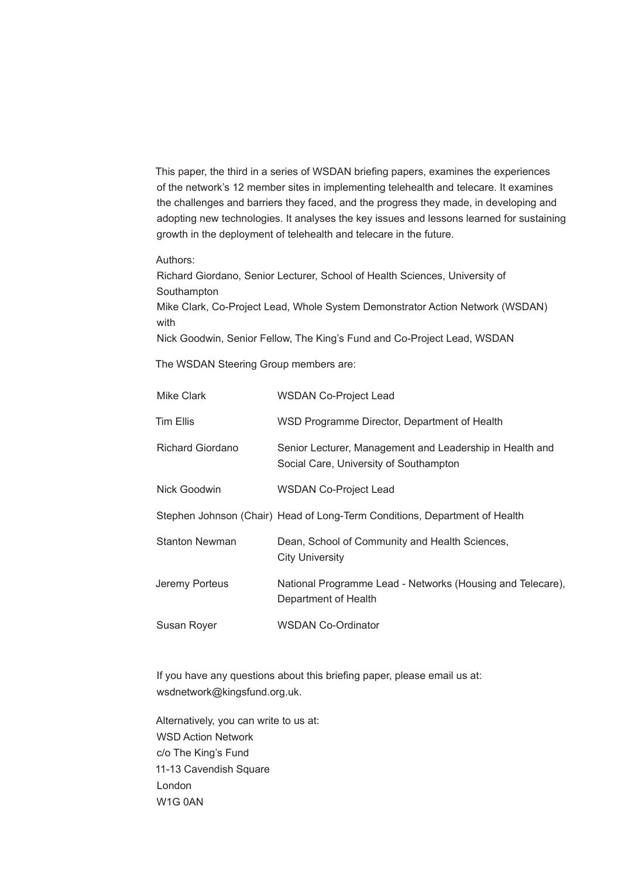This paper, the third in a series of WSDAN briefing papers, examines the experiences of the network's 12 member sites in implementing telehealth and telecare. It examines the challenges and barriers they faced, and the progress they made, in developing and adopting new technologies. It analyses the key issues and lessons learned for sustaining growth in the deployment of telehealth and telecare in the future.

#### Authors:

Richard Giordano, Senior Lecturer, School of Health Sciences, University of Southampton

Mike Clark, Co-Project Lead, Whole System Demonstrator Action Network (WSDAN) with

Nick Goodwin, Senior Fellow, The King's Fund and Co-Project Lead, WSDAN

The WSDAN Steering Group members are:

| Mike Clark            | <b>WSDAN Co-Project Lead</b>                                                                       |
|-----------------------|----------------------------------------------------------------------------------------------------|
| <b>Tim Ellis</b>      | WSD Programme Director, Department of Health                                                       |
| Richard Giordano      | Senior Lecturer, Management and Leadership in Health and<br>Social Care, University of Southampton |
| Nick Goodwin          | <b>WSDAN Co-Project Lead</b>                                                                       |
|                       | Stephen Johnson (Chair) Head of Long-Term Conditions, Department of Health                         |
| <b>Stanton Newman</b> | Dean, School of Community and Health Sciences,<br><b>City University</b>                           |
| Jeremy Porteus        | National Programme Lead - Networks (Housing and Telecare),<br>Department of Health                 |
| Susan Royer           | <b>WSDAN Co-Ordinator</b>                                                                          |

If you have any questions about this briefing paper, please email us at: wsdnetwork@kingsfund.org.uk.

Alternatively, you can write to us at: WSD Action Network c/o The King's Fund 11-13 Cavendish Square London W1G 0AN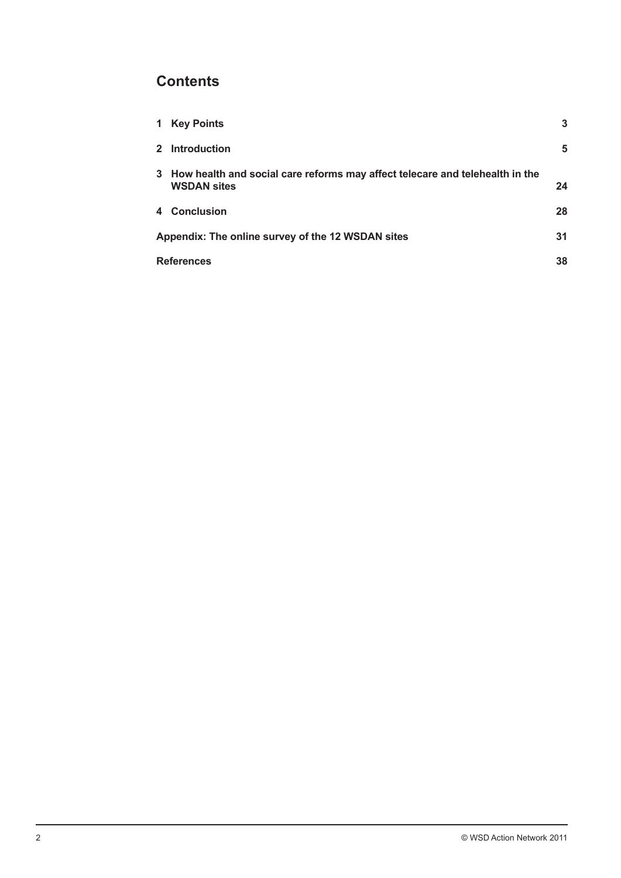# **Contents**

| 1 Key Points                                                                                         | 3  |
|------------------------------------------------------------------------------------------------------|----|
| 2 Introduction                                                                                       | 5  |
| 3 How health and social care reforms may affect telecare and telehealth in the<br><b>WSDAN sites</b> | 24 |
| 4 Conclusion                                                                                         | 28 |
| Appendix: The online survey of the 12 WSDAN sites                                                    | 31 |
| <b>References</b>                                                                                    | 38 |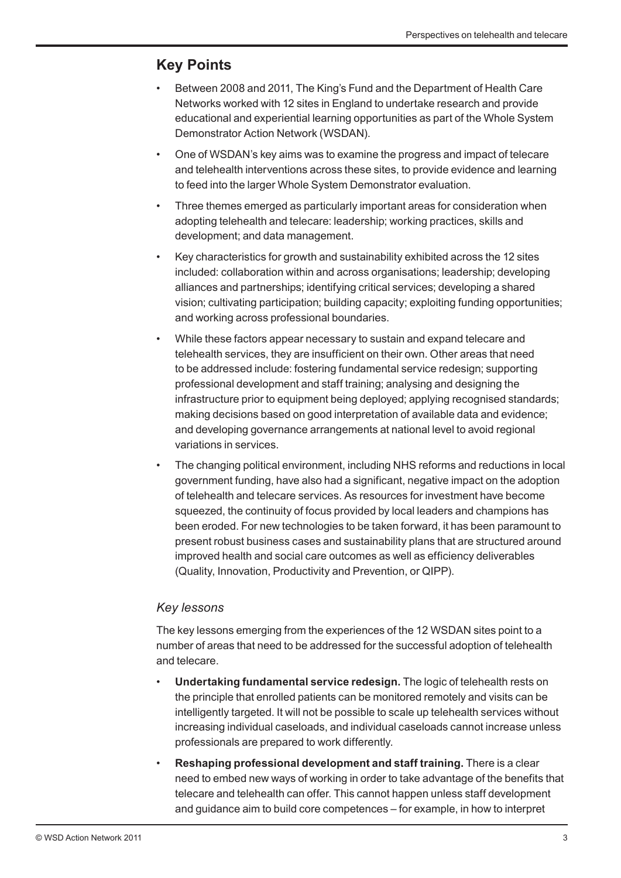## **Key Points**

- Between 2008 and 2011, The King's Fund and the Department of Health Care Networks worked with 12 sites in England to undertake research and provide educational and experiential learning opportunities as part of the Whole System Demonstrator Action Network (WSDAN).
- One of WSDAN's key aims was to examine the progress and impact of telecare and telehealth interventions across these sites, to provide evidence and learning to feed into the larger Whole System Demonstrator evaluation.
- Three themes emerged as particularly important areas for consideration when adopting telehealth and telecare: leadership; working practices, skills and development; and data management.
- Key characteristics for growth and sustainability exhibited across the 12 sites included: collaboration within and across organisations; leadership; developing alliances and partnerships; identifying critical services; developing a shared vision; cultivating participation; building capacity; exploiting funding opportunities; and working across professional boundaries.
- While these factors appear necessary to sustain and expand telecare and telehealth services, they are insufficient on their own. Other areas that need to be addressed include: fostering fundamental service redesign; supporting professional development and staff training; analysing and designing the infrastructure prior to equipment being deployed; applying recognised standards; making decisions based on good interpretation of available data and evidence; and developing governance arrangements at national level to avoid regional variations in services.
- The changing political environment, including NHS reforms and reductions in local government funding, have also had a significant, negative impact on the adoption of telehealth and telecare services. As resources for investment have become squeezed, the continuity of focus provided by local leaders and champions has been eroded. For new technologies to be taken forward, it has been paramount to present robust business cases and sustainability plans that are structured around improved health and social care outcomes as well as efficiency deliverables (Quality, Innovation, Productivity and Prevention, or QIPP).

#### *Key lessons*

The key lessons emerging from the experiences of the 12 WSDAN sites point to a number of areas that need to be addressed for the successful adoption of telehealth and telecare.

- **Undertaking fundamental service redesign.** The logic of telehealth rests on the principle that enrolled patients can be monitored remotely and visits can be intelligently targeted. It will not be possible to scale up telehealth services without increasing individual caseloads, and individual caseloads cannot increase unless professionals are prepared to work differently.
- **Reshaping professional development and staff training.** There is a clear need to embed new ways of working in order to take advantage of the benefits that telecare and telehealth can offer. This cannot happen unless staff development and guidance aim to build core competences – for example, in how to interpret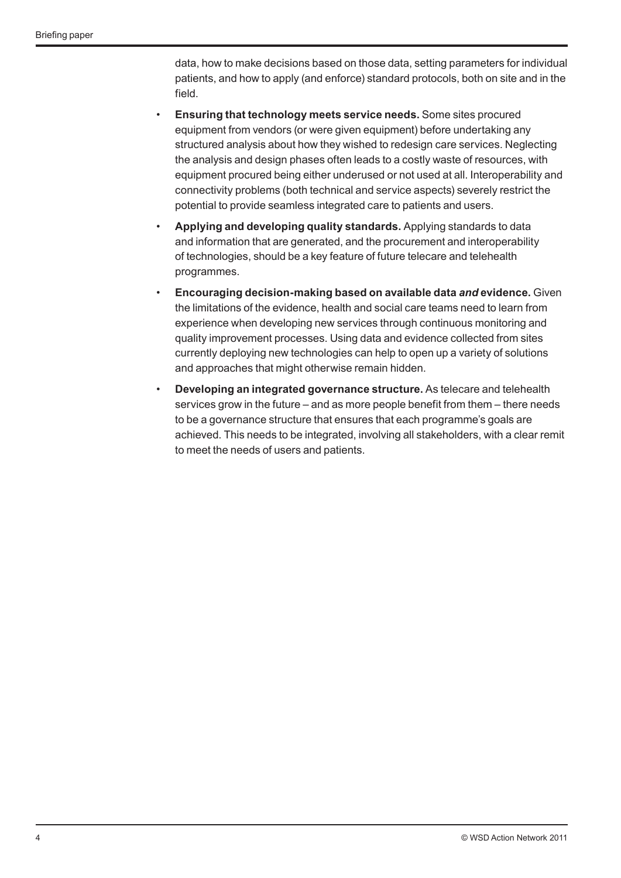data, how to make decisions based on those data, setting parameters for individual patients, and how to apply (and enforce) standard protocols, both on site and in the field.

- **Ensuring that technology meets service needs.** Some sites procured equipment from vendors (or were given equipment) before undertaking any structured analysis about how they wished to redesign care services. Neglecting the analysis and design phases often leads to a costly waste of resources, with equipment procured being either underused or not used at all. Interoperability and connectivity problems (both technical and service aspects) severely restrict the potential to provide seamless integrated care to patients and users.
- Applying and developing quality standards. Applying standards to data and information that are generated, and the procurement and interoperability of technologies, should be a key feature of future telecare and telehealth programmes.
- **Encouraging decision-making based on available data** *and* **evidence.** Given the limitations of the evidence, health and social care teams need to learn from experience when developing new services through continuous monitoring and quality improvement processes. Using data and evidence collected from sites currently deploying new technologies can help to open up a variety of solutions and approaches that might otherwise remain hidden.
- **Developing an integrated governance structure.** As telecare and telehealth services grow in the future – and as more people benefit from them – there needs to be a governance structure that ensures that each programme's goals are achieved. This needs to be integrated, involving all stakeholders, with a clear remit to meet the needs of users and patients.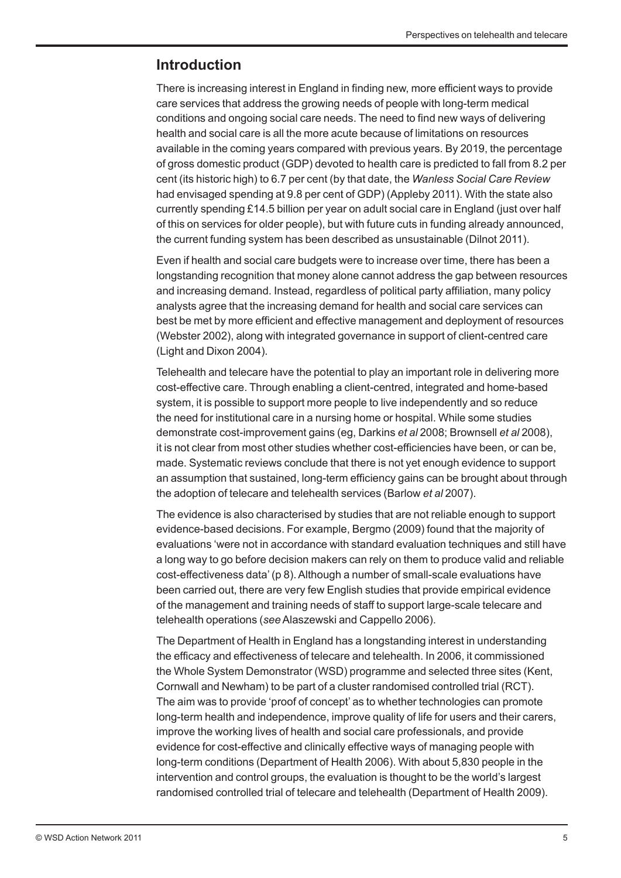## **Introduction**

There is increasing interest in England in finding new, more efficient ways to provide care services that address the growing needs of people with long-term medical conditions and ongoing social care needs. The need to find new ways of delivering health and social care is all the more acute because of limitations on resources available in the coming years compared with previous years. By 2019, the percentage of gross domestic product (GDP) devoted to health care is predicted to fall from 8.2 per cent (its historic high) to 6.7 per cent (by that date, the *Wanless Social Care Review* had envisaged spending at 9.8 per cent of GDP) (Appleby 2011). With the state also currently spending £14.5 billion per year on adult social care in England (just over half of this on services for older people), but with future cuts in funding already announced, the current funding system has been described as unsustainable (Dilnot 2011).

Even if health and social care budgets were to increase over time, there has been a longstanding recognition that money alone cannot address the gap between resources and increasing demand. Instead, regardless of political party affiliation, many policy analysts agree that the increasing demand for health and social care services can best be met by more efficient and effective management and deployment of resources (Webster 2002), along with integrated governance in support of client-centred care (Light and Dixon 2004).

Telehealth and telecare have the potential to play an important role in delivering more cost-effective care. Through enabling a client-centred, integrated and home-based system, it is possible to support more people to live independently and so reduce the need for institutional care in a nursing home or hospital. While some studies demonstrate cost-improvement gains (eg, Darkins *et al* 2008; Brownsell *et al* 2008), it is not clear from most other studies whether cost-efficiencies have been, or can be, made. Systematic reviews conclude that there is not yet enough evidence to support an assumption that sustained, long-term efficiency gains can be brought about through the adoption of telecare and telehealth services (Barlow *et al* 2007).

The evidence is also characterised by studies that are not reliable enough to support evidence-based decisions. For example, Bergmo (2009) found that the majority of evaluations 'were not in accordance with standard evaluation techniques and still have a long way to go before decision makers can rely on them to produce valid and reliable cost-effectiveness data' (p 8). Although a number of small-scale evaluations have been carried out, there are very few English studies that provide empirical evidence of the management and training needs of staff to support large-scale telecare and telehealth operations (*see* Alaszewski and Cappello 2006).

The Department of Health in England has a longstanding interest in understanding the efficacy and effectiveness of telecare and telehealth. In 2006, it commissioned the Whole System Demonstrator (WSD) programme and selected three sites (Kent, Cornwall and Newham) to be part of a cluster randomised controlled trial (RCT). The aim was to provide 'proof of concept' as to whether technologies can promote long-term health and independence, improve quality of life for users and their carers, improve the working lives of health and social care professionals, and provide evidence for cost-effective and clinically effective ways of managing people with long-term conditions (Department of Health 2006). With about 5,830 people in the intervention and control groups, the evaluation is thought to be the world's largest randomised controlled trial of telecare and telehealth (Department of Health 2009).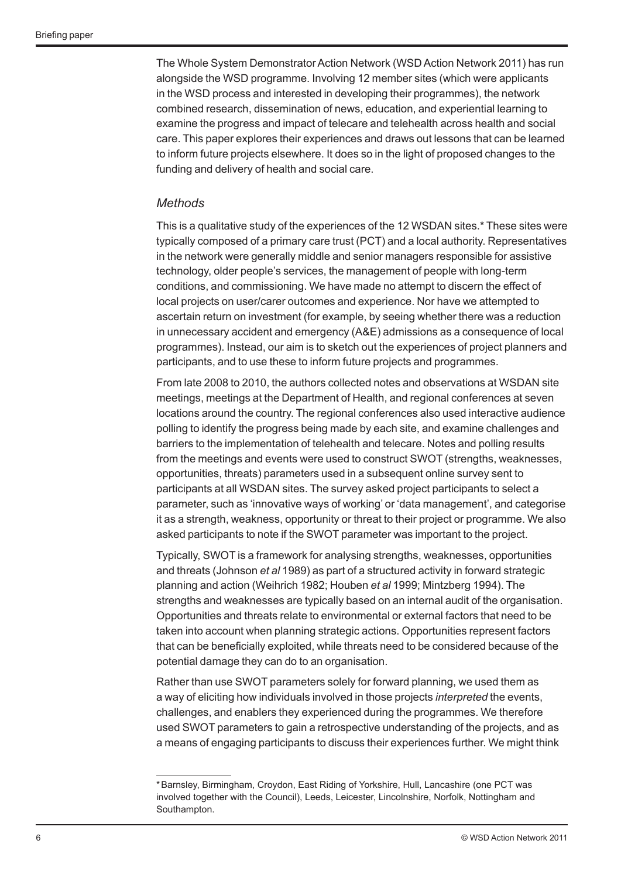The Whole System Demonstrator Action Network (WSD Action Network 2011) has run alongside the WSD programme. Involving 12 member sites (which were applicants in the WSD process and interested in developing their programmes), the network combined research, dissemination of news, education, and experiential learning to examine the progress and impact of telecare and telehealth across health and social care. This paper explores their experiences and draws out lessons that can be learned to inform future projects elsewhere. It does so in the light of proposed changes to the funding and delivery of health and social care.

#### *Methods*

This is a qualitative study of the experiences of the 12 WSDAN sites.\* These sites were typically composed of a primary care trust (PCT) and a local authority. Representatives in the network were generally middle and senior managers responsible for assistive technology, older people's services, the management of people with long-term conditions, and commissioning. We have made no attempt to discern the effect of local projects on user/carer outcomes and experience. Nor have we attempted to ascertain return on investment (for example, by seeing whether there was a reduction in unnecessary accident and emergency (A&E) admissions as a consequence of local programmes). Instead, our aim is to sketch out the experiences of project planners and participants, and to use these to inform future projects and programmes.

From late 2008 to 2010, the authors collected notes and observations at WSDAN site meetings, meetings at the Department of Health, and regional conferences at seven locations around the country. The regional conferences also used interactive audience polling to identify the progress being made by each site, and examine challenges and barriers to the implementation of telehealth and telecare. Notes and polling results from the meetings and events were used to construct SWOT (strengths, weaknesses, opportunities, threats) parameters used in a subsequent online survey sent to participants at all WSDAN sites. The survey asked project participants to select a parameter, such as 'innovative ways of working' or 'data management', and categorise it as a strength, weakness, opportunity or threat to their project or programme. We also asked participants to note if the SWOT parameter was important to the project.

Typically, SWOT is a framework for analysing strengths, weaknesses, opportunities and threats (Johnson *et al* 1989) as part of a structured activity in forward strategic planning and action (Weihrich 1982; Houben *et al* 1999; Mintzberg 1994). The strengths and weaknesses are typically based on an internal audit of the organisation. Opportunities and threats relate to environmental or external factors that need to be taken into account when planning strategic actions. Opportunities represent factors that can be beneficially exploited, while threats need to be considered because of the potential damage they can do to an organisation.

Rather than use SWOT parameters solely for forward planning, we used them as a way of eliciting how individuals involved in those projects *interpreted* the events, challenges, and enablers they experienced during the programmes. We therefore used SWOT parameters to gain a retrospective understanding of the projects, and as a means of engaging participants to discuss their experiences further. We might think

<sup>\*</sup>Barnsley, Birmingham, Croydon, East Riding of Yorkshire, Hull, Lancashire (one PCT was involved together with the Council), Leeds, Leicester, Lincolnshire, Norfolk, Nottingham and Southampton.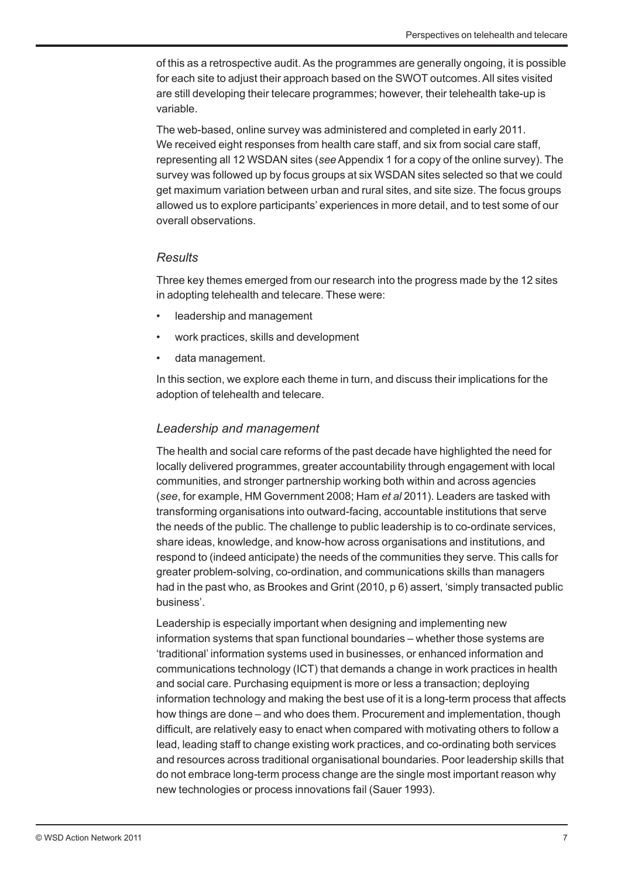of this as a retrospective audit. As the programmes are generally ongoing, it is possible for each site to adjust their approach based on the SWOT outcomes. All sites visited are still developing their telecare programmes; however, their telehealth take-up is variable.

The web-based, online survey was administered and completed in early 2011. We received eight responses from health care staff, and six from social care staff, representing all 12 WSDAN sites (*see* Appendix 1 for a copy of the online survey). The survey was followed up by focus groups at six WSDAN sites selected so that we could get maximum variation between urban and rural sites, and site size. The focus groups allowed us to explore participants' experiences in more detail, and to test some of our overall observations.

#### *Results*

Three key themes emerged from our research into the progress made by the 12 sites in adopting telehealth and telecare. These were:

- leadership and management
- work practices, skills and development
- data management.

In this section, we explore each theme in turn, and discuss their implications for the adoption of telehealth and telecare.

### *Leadership and management*

The health and social care reforms of the past decade have highlighted the need for locally delivered programmes, greater accountability through engagement with local communities, and stronger partnership working both within and across agencies (*see*, for example, HM Government 2008; Ham *et al* 2011). Leaders are tasked with transforming organisations into outward-facing, accountable institutions that serve the needs of the public. The challenge to public leadership is to co-ordinate services, share ideas, knowledge, and know-how across organisations and institutions, and respond to (indeed anticipate) the needs of the communities they serve. This calls for greater problem-solving, co-ordination, and communications skills than managers had in the past who, as Brookes and Grint (2010, p 6) assert, 'simply transacted public business'.

Leadership is especially important when designing and implementing new information systems that span functional boundaries – whether those systems are 'traditional' information systems used in businesses, or enhanced information and communications technology (ICT) that demands a change in work practices in health and social care. Purchasing equipment is more or less a transaction; deploying information technology and making the best use of it is a long-term process that affects how things are done – and who does them. Procurement and implementation, though difficult, are relatively easy to enact when compared with motivating others to follow a lead, leading staff to change existing work practices, and co-ordinating both services and resources across traditional organisational boundaries. Poor leadership skills that do not embrace long-term process change are the single most important reason why new technologies or process innovations fail (Sauer 1993).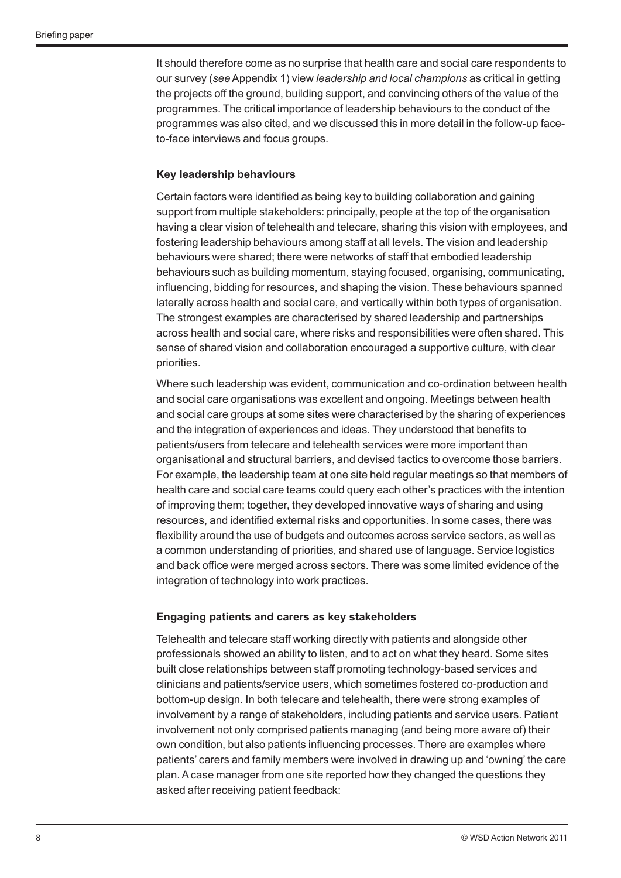It should therefore come as no surprise that health care and social care respondents to our survey (*see* Appendix 1) view *leadership and local champions* as critical in getting the projects off the ground, building support, and convincing others of the value of the programmes. The critical importance of leadership behaviours to the conduct of the programmes was also cited, and we discussed this in more detail in the follow-up faceto-face interviews and focus groups.

#### **Key leadership behaviours**

Certain factors were identified as being key to building collaboration and gaining support from multiple stakeholders: principally, people at the top of the organisation having a clear vision of telehealth and telecare, sharing this vision with employees, and fostering leadership behaviours among staff at all levels. The vision and leadership behaviours were shared; there were networks of staff that embodied leadership behaviours such as building momentum, staying focused, organising, communicating, influencing, bidding for resources, and shaping the vision. These behaviours spanned laterally across health and social care, and vertically within both types of organisation. The strongest examples are characterised by shared leadership and partnerships across health and social care, where risks and responsibilities were often shared. This sense of shared vision and collaboration encouraged a supportive culture, with clear priorities.

Where such leadership was evident, communication and co-ordination between health and social care organisations was excellent and ongoing. Meetings between health and social care groups at some sites were characterised by the sharing of experiences and the integration of experiences and ideas. They understood that benefits to patients/users from telecare and telehealth services were more important than organisational and structural barriers, and devised tactics to overcome those barriers. For example, the leadership team at one site held regular meetings so that members of health care and social care teams could query each other's practices with the intention of improving them; together, they developed innovative ways of sharing and using resources, and identified external risks and opportunities. In some cases, there was flexibility around the use of budgets and outcomes across service sectors, as well as a common understanding of priorities, and shared use of language. Service logistics and back office were merged across sectors. There was some limited evidence of the integration of technology into work practices.

#### **Engaging patients and carers as key stakeholders**

Telehealth and telecare staff working directly with patients and alongside other professionals showed an ability to listen, and to act on what they heard. Some sites built close relationships between staff promoting technology-based services and clinicians and patients/service users, which sometimes fostered co-production and bottom-up design. In both telecare and telehealth, there were strong examples of involvement by a range of stakeholders, including patients and service users. Patient involvement not only comprised patients managing (and being more aware of) their own condition, but also patients influencing processes. There are examples where patients' carers and family members were involved in drawing up and 'owning' the care plan. A case manager from one site reported how they changed the questions they asked after receiving patient feedback: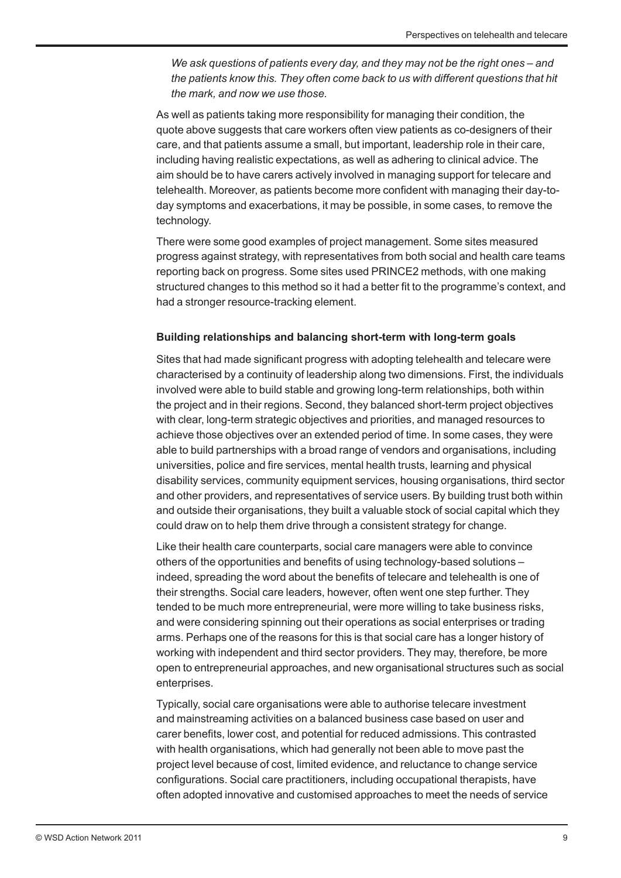*We ask questions of patients every day, and they may not be the right ones – and the patients know this. They often come back to us with different questions that hit the mark, and now we use those.*

As well as patients taking more responsibility for managing their condition, the quote above suggests that care workers often view patients as co-designers of their care, and that patients assume a small, but important, leadership role in their care, including having realistic expectations, as well as adhering to clinical advice. The aim should be to have carers actively involved in managing support for telecare and telehealth. Moreover, as patients become more confident with managing their day-today symptoms and exacerbations, it may be possible, in some cases, to remove the technology.

There were some good examples of project management. Some sites measured progress against strategy, with representatives from both social and health care teams reporting back on progress. Some sites used PRINCE2 methods, with one making structured changes to this method so it had a better fit to the programme's context, and had a stronger resource-tracking element.

#### **Building relationships and balancing short-term with long-term goals**

Sites that had made significant progress with adopting telehealth and telecare were characterised by a continuity of leadership along two dimensions. First, the individuals involved were able to build stable and growing long-term relationships, both within the project and in their regions. Second, they balanced short-term project objectives with clear, long-term strategic objectives and priorities, and managed resources to achieve those objectives over an extended period of time. In some cases, they were able to build partnerships with a broad range of vendors and organisations, including universities, police and fire services, mental health trusts, learning and physical disability services, community equipment services, housing organisations, third sector and other providers, and representatives of service users. By building trust both within and outside their organisations, they built a valuable stock of social capital which they could draw on to help them drive through a consistent strategy for change.

Like their health care counterparts, social care managers were able to convince others of the opportunities and benefits of using technology-based solutions – indeed, spreading the word about the benefits of telecare and telehealth is one of their strengths. Social care leaders, however, often went one step further. They tended to be much more entrepreneurial, were more willing to take business risks, and were considering spinning out their operations as social enterprises or trading arms. Perhaps one of the reasons for this is that social care has a longer history of working with independent and third sector providers. They may, therefore, be more open to entrepreneurial approaches, and new organisational structures such as social enterprises.

Typically, social care organisations were able to authorise telecare investment and mainstreaming activities on a balanced business case based on user and carer benefits, lower cost, and potential for reduced admissions. This contrasted with health organisations, which had generally not been able to move past the project level because of cost, limited evidence, and reluctance to change service configurations. Social care practitioners, including occupational therapists, have often adopted innovative and customised approaches to meet the needs of service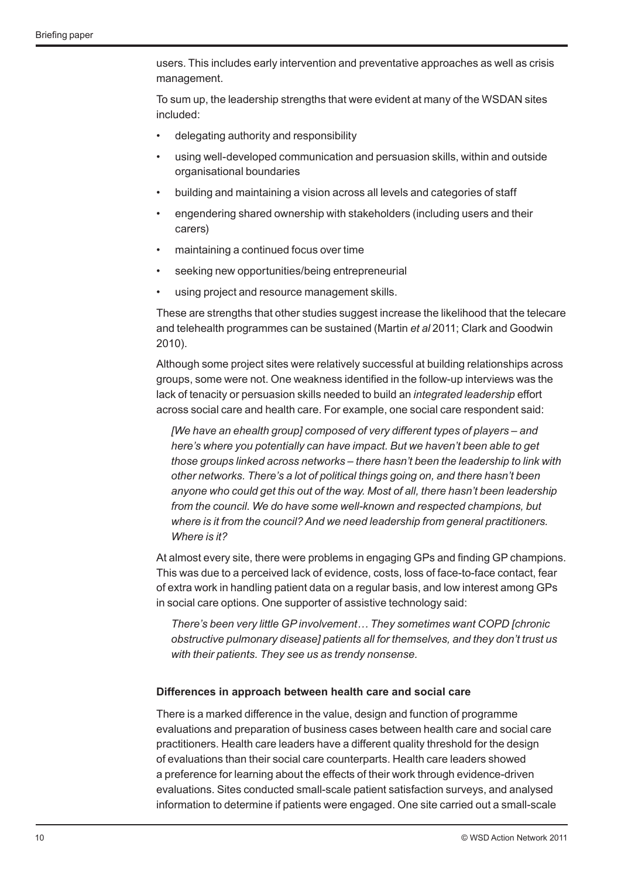users. This includes early intervention and preventative approaches as well as crisis management.

To sum up, the leadership strengths that were evident at many of the WSDAN sites included:

- delegating authority and responsibility
- using well-developed communication and persuasion skills, within and outside organisational boundaries
- building and maintaining a vision across all levels and categories of staff
- engendering shared ownership with stakeholders (including users and their carers)
- maintaining a continued focus over time
- seeking new opportunities/being entrepreneurial
- using project and resource management skills.

These are strengths that other studies suggest increase the likelihood that the telecare and telehealth programmes can be sustained (Martin *et al* 2011; Clark and Goodwin 2010).

Although some project sites were relatively successful at building relationships across groups, some were not. One weakness identified in the follow-up interviews was the lack of tenacity or persuasion skills needed to build an *integrated leadership* effort across social care and health care. For example, one social care respondent said:

*[We have an ehealth group] composed of very different types of players – and here's where you potentially can have impact. But we haven't been able to get those groups linked across networks – there hasn't been the leadership to link with other networks. There's a lot of political things going on, and there hasn't been anyone who could get this out of the way. Most of all, there hasn't been leadership from the council. We do have some well-known and respected champions, but where is it from the council? And we need leadership from general practitioners. Where is it?*

At almost every site, there were problems in engaging GPs and finding GP champions. This was due to a perceived lack of evidence, costs, loss of face-to-face contact, fear of extra work in handling patient data on a regular basis, and low interest among GPs in social care options. One supporter of assistive technology said:

*There's been very little GP involvement… They sometimes want COPD [chronic obstructive pulmonary disease] patients all for themselves, and they don't trust us with their patients. They see us as trendy nonsense.*

#### **Differences in approach between health care and social care**

There is a marked difference in the value, design and function of programme evaluations and preparation of business cases between health care and social care practitioners. Health care leaders have a different quality threshold for the design of evaluations than their social care counterparts. Health care leaders showed a preference for learning about the effects of their work through evidence-driven evaluations. Sites conducted small-scale patient satisfaction surveys, and analysed information to determine if patients were engaged. One site carried out a small-scale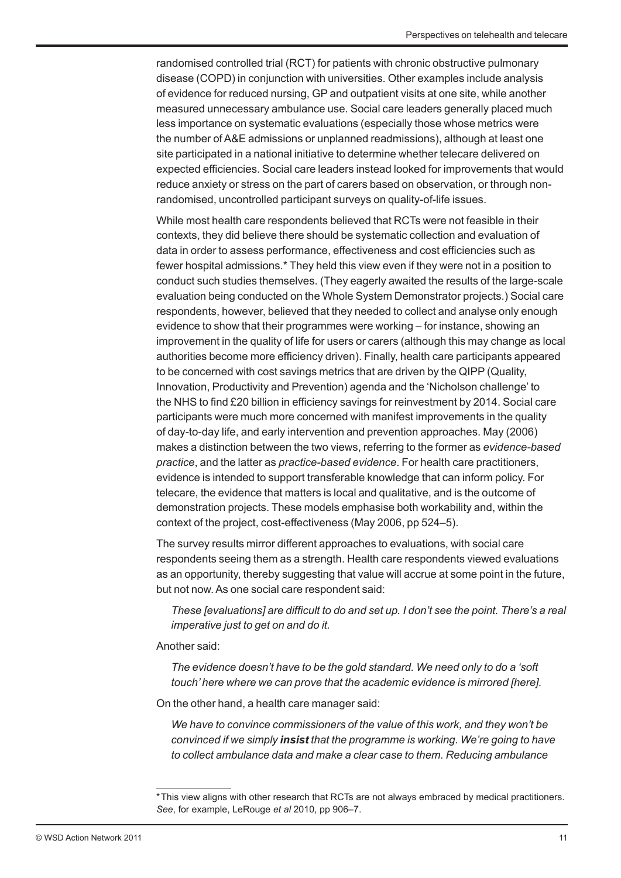randomised controlled trial (RCT) for patients with chronic obstructive pulmonary disease (COPD) in conjunction with universities. Other examples include analysis of evidence for reduced nursing, GP and outpatient visits at one site, while another measured unnecessary ambulance use. Social care leaders generally placed much less importance on systematic evaluations (especially those whose metrics were the number of A&E admissions or unplanned readmissions), although at least one site participated in a national initiative to determine whether telecare delivered on expected efficiencies. Social care leaders instead looked for improvements that would reduce anxiety or stress on the part of carers based on observation, or through nonrandomised, uncontrolled participant surveys on quality-of-life issues.

While most health care respondents believed that RCTs were not feasible in their contexts, they did believe there should be systematic collection and evaluation of data in order to assess performance, effectiveness and cost efficiencies such as fewer hospital admissions.\* They held this view even if they were not in a position to conduct such studies themselves. (They eagerly awaited the results of the large-scale evaluation being conducted on the Whole System Demonstrator projects.) Social care respondents, however, believed that they needed to collect and analyse only enough evidence to show that their programmes were working – for instance, showing an improvement in the quality of life for users or carers (although this may change as local authorities become more efficiency driven). Finally, health care participants appeared to be concerned with cost savings metrics that are driven by the QIPP (Quality, Innovation, Productivity and Prevention) agenda and the 'Nicholson challenge' to the NHS to find £20 billion in efficiency savings for reinvestment by 2014. Social care participants were much more concerned with manifest improvements in the quality of day-to-day life, and early intervention and prevention approaches. May (2006) makes a distinction between the two views, referring to the former as *evidence-based practice*, and the latter as *practice-based evidence*. For health care practitioners, evidence is intended to support transferable knowledge that can inform policy. For telecare, the evidence that matters is local and qualitative, and is the outcome of demonstration projects. These models emphasise both workability and, within the context of the project, cost-effectiveness (May 2006, pp 524–5).

The survey results mirror different approaches to evaluations, with social care respondents seeing them as a strength. Health care respondents viewed evaluations as an opportunity, thereby suggesting that value will accrue at some point in the future, but not now. As one social care respondent said:

*These [evaluations] are difficult to do and set up. I don't see the point. There's a real imperative just to get on and do it.*

#### Another said:

*The evidence doesn't have to be the gold standard. We need only to do a 'soft touch' here where we can prove that the academic evidence is mirrored [here].*

On the other hand, a health care manager said:

*We have to convince commissioners of the value of this work, and they won't be convinced if we simply insist that the programme is working. We're going to have to collect ambulance data and make a clear case to them. Reducing ambulance* 

<sup>\*</sup>This view aligns with other research that RCTs are not always embraced by medical practitioners. *See*, for example, LeRouge *et al* 2010, pp 906–7.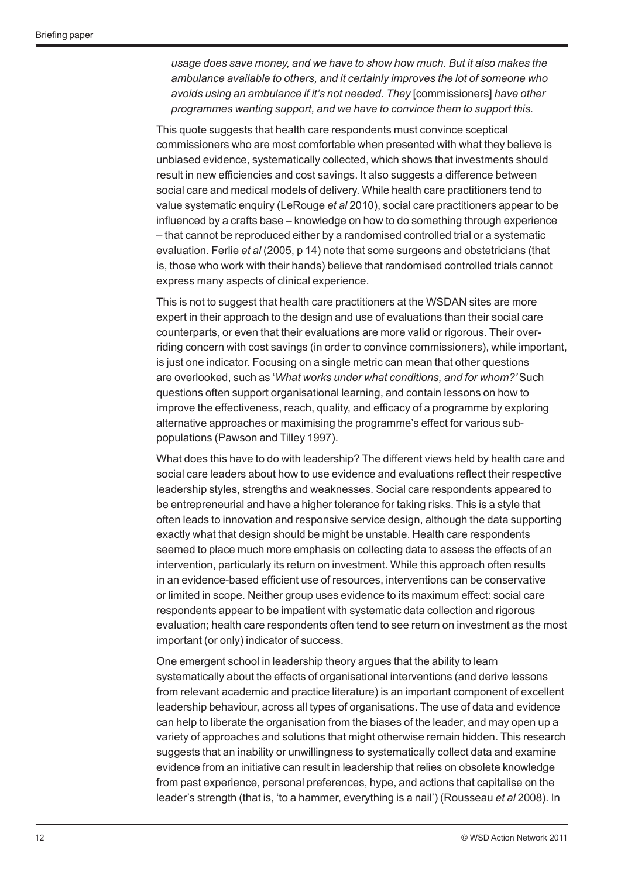*usage does save money, and we have to show how much. But it also makes the ambulance available to others, and it certainly improves the lot of someone who avoids using an ambulance if it's not needed. They* [commissioners] *have other programmes wanting support, and we have to convince them to support this.*

This quote suggests that health care respondents must convince sceptical commissioners who are most comfortable when presented with what they believe is unbiased evidence, systematically collected, which shows that investments should result in new efficiencies and cost savings. It also suggests a difference between social care and medical models of delivery. While health care practitioners tend to value systematic enquiry (LeRouge *et al* 2010), social care practitioners appear to be influenced by a crafts base – knowledge on how to do something through experience – that cannot be reproduced either by a randomised controlled trial or a systematic evaluation. Ferlie *et al* (2005, p 14) note that some surgeons and obstetricians (that is, those who work with their hands) believe that randomised controlled trials cannot express many aspects of clinical experience.

This is not to suggest that health care practitioners at the WSDAN sites are more expert in their approach to the design and use of evaluations than their social care counterparts, or even that their evaluations are more valid or rigorous. Their overriding concern with cost savings (in order to convince commissioners), while important, is just one indicator. Focusing on a single metric can mean that other questions are overlooked, such as '*What works under what conditions, and for whom?'* Such questions often support organisational learning, and contain lessons on how to improve the effectiveness, reach, quality, and efficacy of a programme by exploring alternative approaches or maximising the programme's effect for various subpopulations (Pawson and Tilley 1997).

What does this have to do with leadership? The different views held by health care and social care leaders about how to use evidence and evaluations reflect their respective leadership styles, strengths and weaknesses. Social care respondents appeared to be entrepreneurial and have a higher tolerance for taking risks. This is a style that often leads to innovation and responsive service design, although the data supporting exactly what that design should be might be unstable. Health care respondents seemed to place much more emphasis on collecting data to assess the effects of an intervention, particularly its return on investment. While this approach often results in an evidence-based efficient use of resources, interventions can be conservative or limited in scope. Neither group uses evidence to its maximum effect: social care respondents appear to be impatient with systematic data collection and rigorous evaluation; health care respondents often tend to see return on investment as the most important (or only) indicator of success.

One emergent school in leadership theory argues that the ability to learn systematically about the effects of organisational interventions (and derive lessons from relevant academic and practice literature) is an important component of excellent leadership behaviour, across all types of organisations. The use of data and evidence can help to liberate the organisation from the biases of the leader, and may open up a variety of approaches and solutions that might otherwise remain hidden. This research suggests that an inability or unwillingness to systematically collect data and examine evidence from an initiative can result in leadership that relies on obsolete knowledge from past experience, personal preferences, hype, and actions that capitalise on the leader's strength (that is, 'to a hammer, everything is a nail') (Rousseau *et al* 2008). In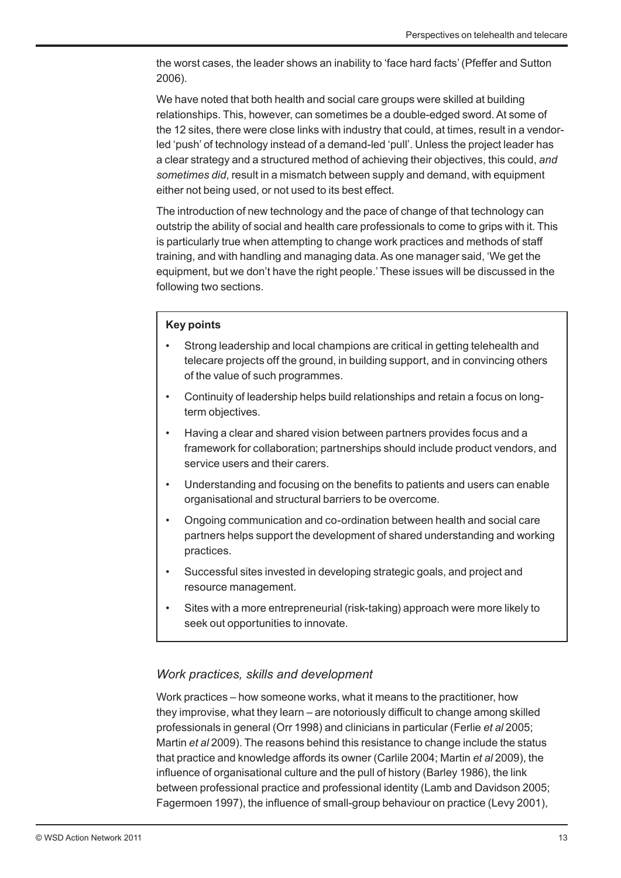the worst cases, the leader shows an inability to 'face hard facts' (Pfeffer and Sutton 2006).

We have noted that both health and social care groups were skilled at building relationships. This, however, can sometimes be a double-edged sword. At some of the 12 sites, there were close links with industry that could, at times, result in a vendorled 'push' of technology instead of a demand-led 'pull'. Unless the project leader has a clear strategy and a structured method of achieving their objectives, this could, *and sometimes did*, result in a mismatch between supply and demand, with equipment either not being used, or not used to its best effect.

The introduction of new technology and the pace of change of that technology can outstrip the ability of social and health care professionals to come to grips with it. This is particularly true when attempting to change work practices and methods of staff training, and with handling and managing data. As one manager said, 'We get the equipment, but we don't have the right people.' These issues will be discussed in the following two sections.

#### **Key points**

- Strong leadership and local champions are critical in getting telehealth and telecare projects off the ground, in building support, and in convincing others of the value of such programmes.
- Continuity of leadership helps build relationships and retain a focus on longterm objectives.
- Having a clear and shared vision between partners provides focus and a framework for collaboration; partnerships should include product vendors, and service users and their carers.
- Understanding and focusing on the benefits to patients and users can enable organisational and structural barriers to be overcome.
- Ongoing communication and co-ordination between health and social care partners helps support the development of shared understanding and working practices.
- Successful sites invested in developing strategic goals, and project and resource management.
- Sites with a more entrepreneurial (risk-taking) approach were more likely to seek out opportunities to innovate.

#### *Work practices, skills and development*

Work practices – how someone works, what it means to the practitioner, how they improvise, what they learn – are notoriously difficult to change among skilled professionals in general (Orr 1998) and clinicians in particular (Ferlie *et al* 2005; Martin *et al* 2009). The reasons behind this resistance to change include the status that practice and knowledge affords its owner (Carlile 2004; Martin *et al* 2009), the influence of organisational culture and the pull of history (Barley 1986), the link between professional practice and professional identity (Lamb and Davidson 2005; Fagermoen 1997), the influence of small-group behaviour on practice (Levy 2001),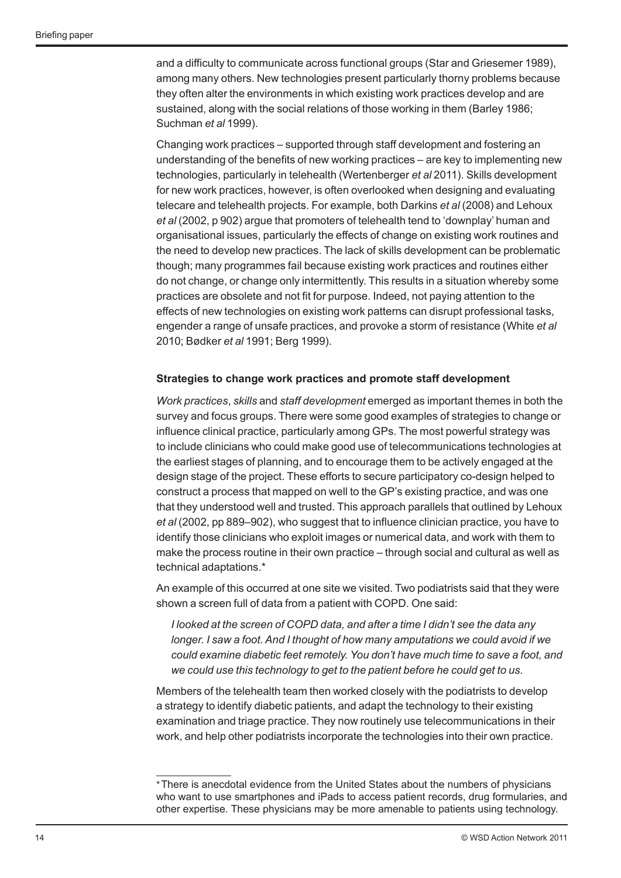and a difficulty to communicate across functional groups (Star and Griesemer 1989), among many others. New technologies present particularly thorny problems because they often alter the environments in which existing work practices develop and are sustained, along with the social relations of those working in them (Barley 1986; Suchman *et al* 1999).

Changing work practices – supported through staff development and fostering an understanding of the benefits of new working practices – are key to implementing new technologies, particularly in telehealth (Wertenberger *et al* 2011). Skills development for new work practices, however, is often overlooked when designing and evaluating telecare and telehealth projects. For example, both Darkins *et al* (2008) and Lehoux *et al* (2002, p 902) argue that promoters of telehealth tend to 'downplay' human and organisational issues, particularly the effects of change on existing work routines and the need to develop new practices. The lack of skills development can be problematic though; many programmes fail because existing work practices and routines either do not change, or change only intermittently. This results in a situation whereby some practices are obsolete and not fit for purpose. Indeed, not paying attention to the effects of new technologies on existing work patterns can disrupt professional tasks, engender a range of unsafe practices, and provoke a storm of resistance (White *et al* 2010; Bødker *et al* 1991; Berg 1999).

#### **Strategies to change work practices and promote staff development**

*Work practices*, *skills* and *staff development* emerged as important themes in both the survey and focus groups. There were some good examples of strategies to change or influence clinical practice, particularly among GPs. The most powerful strategy was to include clinicians who could make good use of telecommunications technologies at the earliest stages of planning, and to encourage them to be actively engaged at the design stage of the project. These efforts to secure participatory co-design helped to construct a process that mapped on well to the GP's existing practice, and was one that they understood well and trusted. This approach parallels that outlined by Lehoux *et al* (2002, pp 889–902), who suggest that to influence clinician practice, you have to identify those clinicians who exploit images or numerical data, and work with them to make the process routine in their own practice – through social and cultural as well as technical adaptations.\*

An example of this occurred at one site we visited. Two podiatrists said that they were shown a screen full of data from a patient with COPD. One said:

*I looked at the screen of COPD data, and after a time I didn't see the data any longer. I saw a foot. And I thought of how many amputations we could avoid if we could examine diabetic feet remotely. You don't have much time to save a foot, and we could use this technology to get to the patient before he could get to us.*

Members of the telehealth team then worked closely with the podiatrists to develop a strategy to identify diabetic patients, and adapt the technology to their existing examination and triage practice. They now routinely use telecommunications in their work, and help other podiatrists incorporate the technologies into their own practice.

<sup>\*</sup>There is anecdotal evidence from the United States about the numbers of physicians who want to use smartphones and iPads to access patient records, drug formularies, and other expertise. These physicians may be more amenable to patients using technology.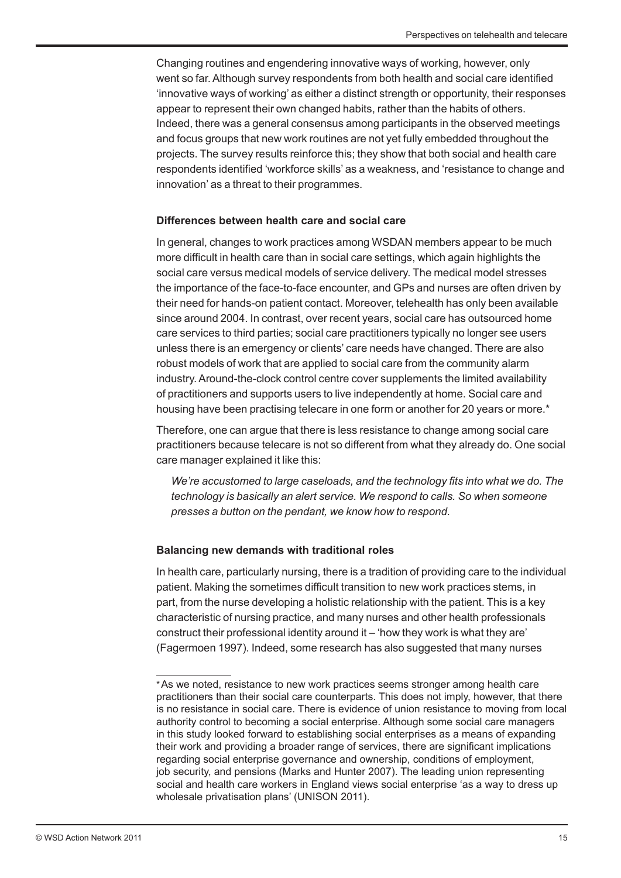Changing routines and engendering innovative ways of working, however, only went so far. Although survey respondents from both health and social care identified 'innovative ways of working' as either a distinct strength or opportunity, their responses appear to represent their own changed habits, rather than the habits of others. Indeed, there was a general consensus among participants in the observed meetings and focus groups that new work routines are not yet fully embedded throughout the projects. The survey results reinforce this; they show that both social and health care respondents identified 'workforce skills' as a weakness, and 'resistance to change and innovation' as a threat to their programmes.

#### **Differences between health care and social care**

In general, changes to work practices among WSDAN members appear to be much more difficult in health care than in social care settings, which again highlights the social care versus medical models of service delivery. The medical model stresses the importance of the face-to-face encounter, and GPs and nurses are often driven by their need for hands-on patient contact. Moreover, telehealth has only been available since around 2004. In contrast, over recent years, social care has outsourced home care services to third parties; social care practitioners typically no longer see users unless there is an emergency or clients' care needs have changed. There are also robust models of work that are applied to social care from the community alarm industry. Around-the-clock control centre cover supplements the limited availability of practitioners and supports users to live independently at home. Social care and housing have been practising telecare in one form or another for 20 years or more.\*

Therefore, one can argue that there is less resistance to change among social care practitioners because telecare is not so different from what they already do. One social care manager explained it like this:

*We're accustomed to large caseloads, and the technology fits into what we do. The technology is basically an alert service. We respond to calls. So when someone presses a button on the pendant, we know how to respond.*

#### **Balancing new demands with traditional roles**

In health care, particularly nursing, there is a tradition of providing care to the individual patient. Making the sometimes difficult transition to new work practices stems, in part, from the nurse developing a holistic relationship with the patient. This is a key characteristic of nursing practice, and many nurses and other health professionals construct their professional identity around it – 'how they work is what they are' (Fagermoen 1997). Indeed, some research has also suggested that many nurses

<sup>\*</sup>As we noted, resistance to new work practices seems stronger among health care practitioners than their social care counterparts. This does not imply, however, that there is no resistance in social care. There is evidence of union resistance to moving from local authority control to becoming a social enterprise. Although some social care managers in this study looked forward to establishing social enterprises as a means of expanding their work and providing a broader range of services, there are significant implications regarding social enterprise governance and ownership, conditions of employment, job security, and pensions (Marks and Hunter 2007). The leading union representing social and health care workers in England views social enterprise 'as a way to dress up wholesale privatisation plans' (UNISON 2011).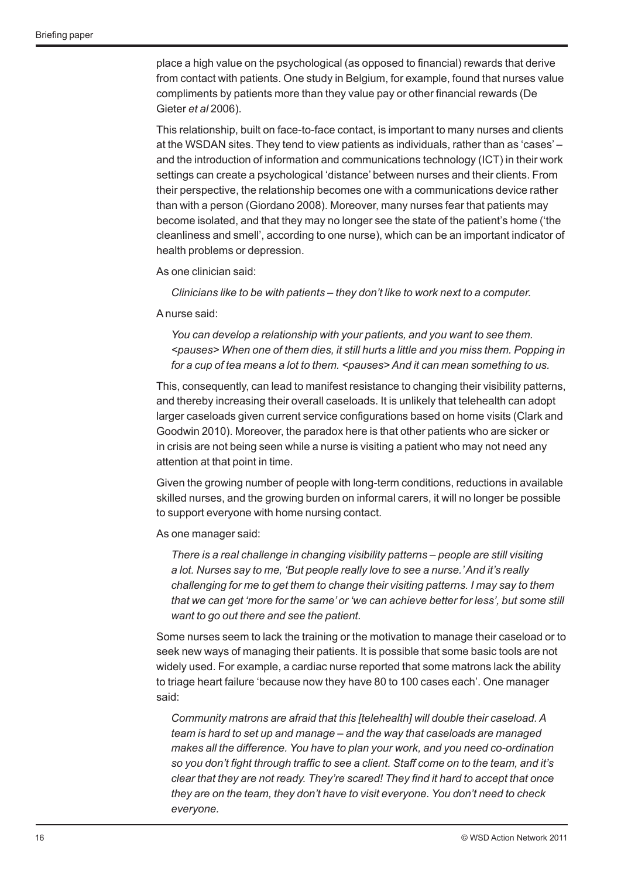place a high value on the psychological (as opposed to financial) rewards that derive from contact with patients. One study in Belgium, for example, found that nurses value compliments by patients more than they value pay or other financial rewards (De Gieter *et al* 2006).

This relationship, built on face-to-face contact, is important to many nurses and clients at the WSDAN sites. They tend to view patients as individuals, rather than as 'cases' – and the introduction of information and communications technology (ICT) in their work settings can create a psychological 'distance' between nurses and their clients. From their perspective, the relationship becomes one with a communications device rather than with a person (Giordano 2008). Moreover, many nurses fear that patients may become isolated, and that they may no longer see the state of the patient's home ('the cleanliness and smell', according to one nurse), which can be an important indicator of health problems or depression.

As one clinician said:

*Clinicians like to be with patients – they don't like to work next to a computer.*

A nurse said:

*You can develop a relationship with your patients, and you want to see them. <pauses> When one of them dies, it still hurts a little and you miss them. Popping in for a cup of tea means a lot to them. <pauses> And it can mean something to us.*

This, consequently, can lead to manifest resistance to changing their visibility patterns, and thereby increasing their overall caseloads. It is unlikely that telehealth can adopt larger caseloads given current service configurations based on home visits (Clark and Goodwin 2010). Moreover, the paradox here is that other patients who are sicker or in crisis are not being seen while a nurse is visiting a patient who may not need any attention at that point in time.

Given the growing number of people with long-term conditions, reductions in available skilled nurses, and the growing burden on informal carers, it will no longer be possible to support everyone with home nursing contact.

As one manager said:

*There is a real challenge in changing visibility patterns – people are still visiting a lot. Nurses say to me, 'But people really love to see a nurse.' And it's really challenging for me to get them to change their visiting patterns. I may say to them that we can get 'more for the same' or 'we can achieve better for less', but some still want to go out there and see the patient.*

Some nurses seem to lack the training or the motivation to manage their caseload or to seek new ways of managing their patients. It is possible that some basic tools are not widely used. For example, a cardiac nurse reported that some matrons lack the ability to triage heart failure 'because now they have 80 to 100 cases each'. One manager said:

*Community matrons are afraid that this [telehealth] will double their caseload. A team is hard to set up and manage – and the way that caseloads are managed makes all the difference. You have to plan your work, and you need co-ordination so you don't fight through traffic to see a client. Staff come on to the team, and it's clear that they are not ready. They're scared! They find it hard to accept that once they are on the team, they don't have to visit everyone. You don't need to check everyone.*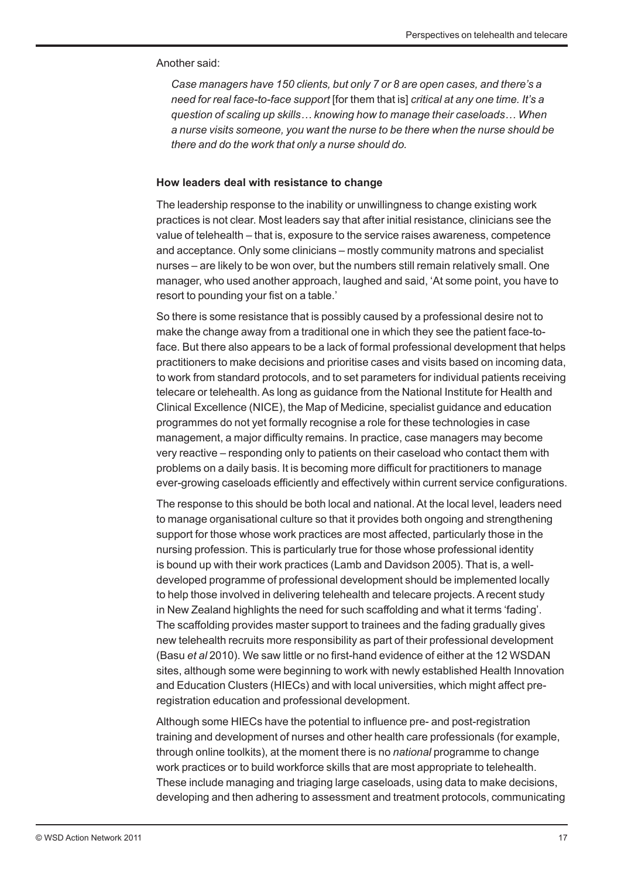#### Another said:

*Case managers have 150 clients, but only 7 or 8 are open cases, and there's a need for real face-to-face support* [for them that is] *critical at any one time. It's a question of scaling up skills… knowing how to manage their caseloads… When a nurse visits someone, you want the nurse to be there when the nurse should be there and do the work that only a nurse should do.*

#### **How leaders deal with resistance to change**

The leadership response to the inability or unwillingness to change existing work practices is not clear. Most leaders say that after initial resistance, clinicians see the value of telehealth – that is, exposure to the service raises awareness, competence and acceptance. Only some clinicians – mostly community matrons and specialist nurses – are likely to be won over, but the numbers still remain relatively small. One manager, who used another approach, laughed and said, 'At some point, you have to resort to pounding your fist on a table.'

So there is some resistance that is possibly caused by a professional desire not to make the change away from a traditional one in which they see the patient face-toface. But there also appears to be a lack of formal professional development that helps practitioners to make decisions and prioritise cases and visits based on incoming data, to work from standard protocols, and to set parameters for individual patients receiving telecare or telehealth. As long as guidance from the National Institute for Health and Clinical Excellence (NICE), the Map of Medicine, specialist guidance and education programmes do not yet formally recognise a role for these technologies in case management, a major difficulty remains. In practice, case managers may become very reactive – responding only to patients on their caseload who contact them with problems on a daily basis. It is becoming more difficult for practitioners to manage ever-growing caseloads efficiently and effectively within current service configurations.

The response to this should be both local and national. At the local level, leaders need to manage organisational culture so that it provides both ongoing and strengthening support for those whose work practices are most affected, particularly those in the nursing profession. This is particularly true for those whose professional identity is bound up with their work practices (Lamb and Davidson 2005). That is, a welldeveloped programme of professional development should be implemented locally to help those involved in delivering telehealth and telecare projects. A recent study in New Zealand highlights the need for such scaffolding and what it terms 'fading'. The scaffolding provides master support to trainees and the fading gradually gives new telehealth recruits more responsibility as part of their professional development (Basu *et al* 2010). We saw little or no first-hand evidence of either at the 12 WSDAN sites, although some were beginning to work with newly established Health Innovation and Education Clusters (HIECs) and with local universities, which might affect preregistration education and professional development.

Although some HIECs have the potential to influence pre- and post-registration training and development of nurses and other health care professionals (for example, through online toolkits), at the moment there is no *national* programme to change work practices or to build workforce skills that are most appropriate to telehealth. These include managing and triaging large caseloads, using data to make decisions, developing and then adhering to assessment and treatment protocols, communicating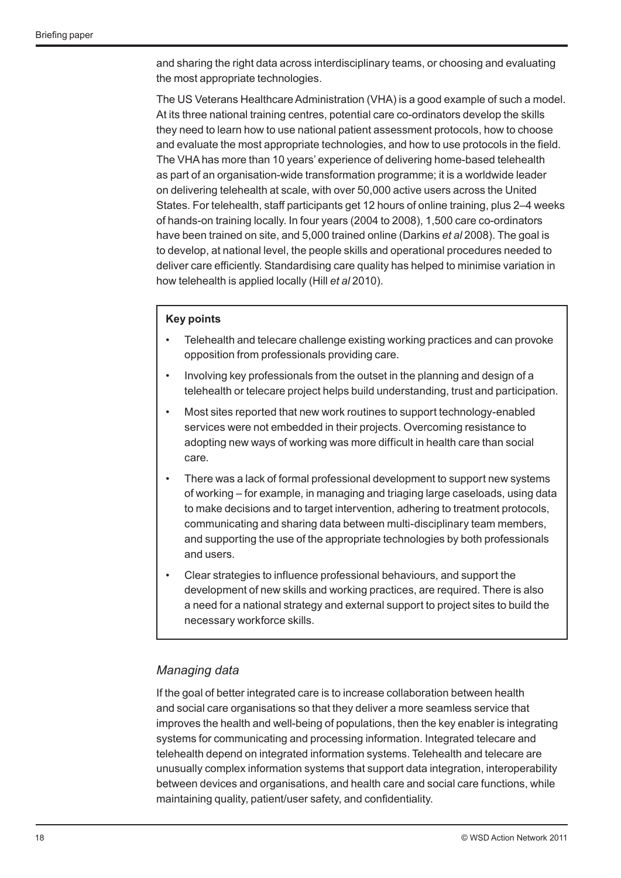and sharing the right data across interdisciplinary teams, or choosing and evaluating the most appropriate technologies.

The US Veterans Healthcare Administration (VHA) is a good example of such a model. At its three national training centres, potential care co-ordinators develop the skills they need to learn how to use national patient assessment protocols, how to choose and evaluate the most appropriate technologies, and how to use protocols in the field. The VHA has more than 10 years' experience of delivering home-based telehealth as part of an organisation-wide transformation programme; it is a worldwide leader on delivering telehealth at scale, with over 50,000 active users across the United States. For telehealth, staff participants get 12 hours of online training, plus 2–4 weeks of hands-on training locally. In four years (2004 to 2008), 1,500 care co-ordinators have been trained on site, and 5,000 trained online (Darkins *et al* 2008). The goal is to develop, at national level, the people skills and operational procedures needed to deliver care efficiently. Standardising care quality has helped to minimise variation in how telehealth is applied locally (Hill *et al* 2010).

#### **Key points**

- Telehealth and telecare challenge existing working practices and can provoke opposition from professionals providing care.
- Involving key professionals from the outset in the planning and design of a telehealth or telecare project helps build understanding, trust and participation.
- Most sites reported that new work routines to support technology-enabled services were not embedded in their projects. Overcoming resistance to adopting new ways of working was more difficult in health care than social care.
- There was a lack of formal professional development to support new systems of working – for example, in managing and triaging large caseloads, using data to make decisions and to target intervention, adhering to treatment protocols, communicating and sharing data between multi-disciplinary team members, and supporting the use of the appropriate technologies by both professionals and users.
- Clear strategies to influence professional behaviours, and support the development of new skills and working practices, are required. There is also a need for a national strategy and external support to project sites to build the necessary workforce skills.

## *Managing data*

If the goal of better integrated care is to increase collaboration between health and social care organisations so that they deliver a more seamless service that improves the health and well-being of populations, then the key enabler is integrating systems for communicating and processing information. Integrated telecare and telehealth depend on integrated information systems. Telehealth and telecare are unusually complex information systems that support data integration, interoperability between devices and organisations, and health care and social care functions, while maintaining quality, patient/user safety, and confidentiality.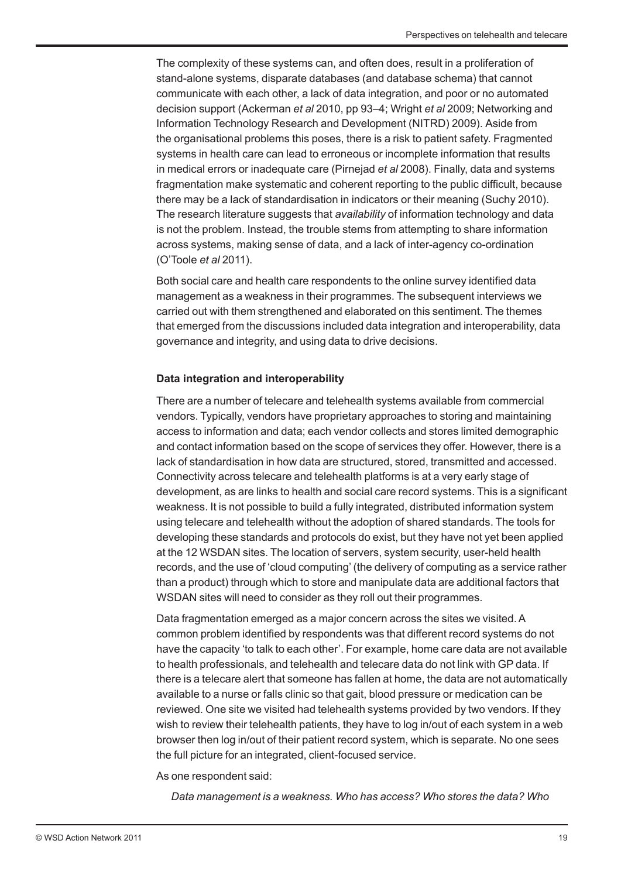The complexity of these systems can, and often does, result in a proliferation of stand-alone systems, disparate databases (and database schema) that cannot communicate with each other, a lack of data integration, and poor or no automated decision support (Ackerman *et al* 2010, pp 93–4; Wright *et al* 2009; Networking and Information Technology Research and Development (NITRD) 2009). Aside from the organisational problems this poses, there is a risk to patient safety. Fragmented systems in health care can lead to erroneous or incomplete information that results in medical errors or inadequate care (Pirnejad *et al* 2008). Finally, data and systems fragmentation make systematic and coherent reporting to the public difficult, because there may be a lack of standardisation in indicators or their meaning (Suchy 2010). The research literature suggests that *availability* of information technology and data is not the problem. Instead, the trouble stems from attempting to share information across systems, making sense of data, and a lack of inter-agency co-ordination (O'Toole *et al* 2011).

Both social care and health care respondents to the online survey identified data management as a weakness in their programmes. The subsequent interviews we carried out with them strengthened and elaborated on this sentiment. The themes that emerged from the discussions included data integration and interoperability, data governance and integrity, and using data to drive decisions.

#### **Data integration and interoperability**

There are a number of telecare and telehealth systems available from commercial vendors. Typically, vendors have proprietary approaches to storing and maintaining access to information and data; each vendor collects and stores limited demographic and contact information based on the scope of services they offer. However, there is a lack of standardisation in how data are structured, stored, transmitted and accessed. Connectivity across telecare and telehealth platforms is at a very early stage of development, as are links to health and social care record systems. This is a significant weakness. It is not possible to build a fully integrated, distributed information system using telecare and telehealth without the adoption of shared standards. The tools for developing these standards and protocols do exist, but they have not yet been applied at the 12 WSDAN sites. The location of servers, system security, user-held health records, and the use of 'cloud computing' (the delivery of computing as a service rather than a product) through which to store and manipulate data are additional factors that WSDAN sites will need to consider as they roll out their programmes.

Data fragmentation emerged as a major concern across the sites we visited. A common problem identified by respondents was that different record systems do not have the capacity 'to talk to each other'. For example, home care data are not available to health professionals, and telehealth and telecare data do not link with GP data. If there is a telecare alert that someone has fallen at home, the data are not automatically available to a nurse or falls clinic so that gait, blood pressure or medication can be reviewed. One site we visited had telehealth systems provided by two vendors. If they wish to review their telehealth patients, they have to log in/out of each system in a web browser then log in/out of their patient record system, which is separate. No one sees the full picture for an integrated, client-focused service.

As one respondent said:

*Data management is a weakness. Who has access? Who stores the data? Who*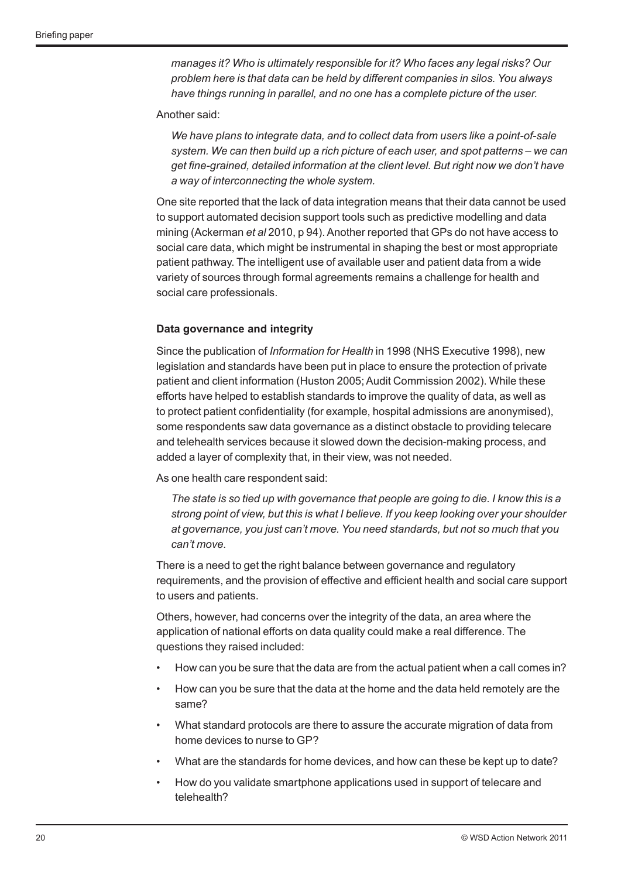*manages it? Who is ultimately responsible for it? Who faces any legal risks? Our problem here is that data can be held by different companies in silos. You always have things running in parallel, and no one has a complete picture of the user.*

#### Another said:

*We have plans to integrate data, and to collect data from users like a point-of-sale system. We can then build up a rich picture of each user, and spot patterns – we can get fine-grained, detailed information at the client level. But right now we don't have a way of interconnecting the whole system.*

One site reported that the lack of data integration means that their data cannot be used to support automated decision support tools such as predictive modelling and data mining (Ackerman *et al* 2010, p 94). Another reported that GPs do not have access to social care data, which might be instrumental in shaping the best or most appropriate patient pathway. The intelligent use of available user and patient data from a wide variety of sources through formal agreements remains a challenge for health and social care professionals.

#### **Data governance and integrity**

Since the publication of *Information for Health* in 1998 (NHS Executive 1998), new legislation and standards have been put in place to ensure the protection of private patient and client information (Huston 2005; Audit Commission 2002). While these efforts have helped to establish standards to improve the quality of data, as well as to protect patient confidentiality (for example, hospital admissions are anonymised), some respondents saw data governance as a distinct obstacle to providing telecare and telehealth services because it slowed down the decision-making process, and added a layer of complexity that, in their view, was not needed.

As one health care respondent said:

*The state is so tied up with governance that people are going to die. I know this is a strong point of view, but this is what I believe. If you keep looking over your shoulder at governance, you just can't move. You need standards, but not so much that you can't move.*

There is a need to get the right balance between governance and regulatory requirements, and the provision of effective and efficient health and social care support to users and patients.

Others, however, had concerns over the integrity of the data, an area where the application of national efforts on data quality could make a real difference. The questions they raised included:

- How can you be sure that the data are from the actual patient when a call comes in?
- How can you be sure that the data at the home and the data held remotely are the same?
- What standard protocols are there to assure the accurate migration of data from home devices to nurse to GP?
- What are the standards for home devices, and how can these be kept up to date?
- How do you validate smartphone applications used in support of telecare and telehealth?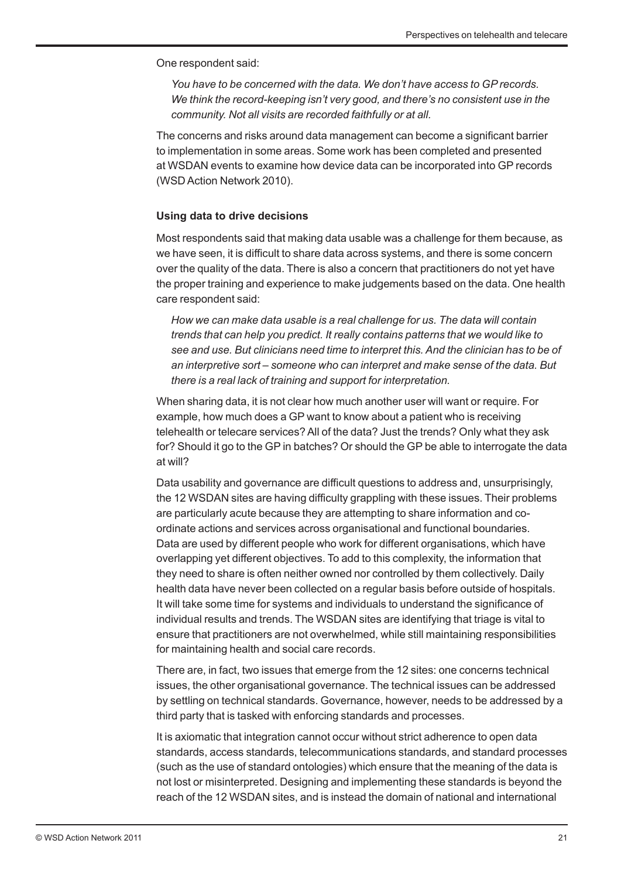One respondent said:

*You have to be concerned with the data. We don't have access to GP records. We think the record-keeping isn't very good, and there's no consistent use in the community. Not all visits are recorded faithfully or at all.*

The concerns and risks around data management can become a significant barrier to implementation in some areas. Some work has been completed and presented at WSDAN events to examine how device data can be incorporated into GP records (WSD Action Network 2010).

#### **Using data to drive decisions**

Most respondents said that making data usable was a challenge for them because, as we have seen, it is difficult to share data across systems, and there is some concern over the quality of the data. There is also a concern that practitioners do not yet have the proper training and experience to make judgements based on the data. One health care respondent said:

*How we can make data usable is a real challenge for us. The data will contain trends that can help you predict. It really contains patterns that we would like to see and use. But clinicians need time to interpret this. And the clinician has to be of an interpretive sort – someone who can interpret and make sense of the data. But there is a real lack of training and support for interpretation.*

When sharing data, it is not clear how much another user will want or require. For example, how much does a GP want to know about a patient who is receiving telehealth or telecare services? All of the data? Just the trends? Only what they ask for? Should it go to the GP in batches? Or should the GP be able to interrogate the data at will?

Data usability and governance are difficult questions to address and, unsurprisingly, the 12 WSDAN sites are having difficulty grappling with these issues. Their problems are particularly acute because they are attempting to share information and coordinate actions and services across organisational and functional boundaries. Data are used by different people who work for different organisations, which have overlapping yet different objectives. To add to this complexity, the information that they need to share is often neither owned nor controlled by them collectively. Daily health data have never been collected on a regular basis before outside of hospitals. It will take some time for systems and individuals to understand the significance of individual results and trends. The WSDAN sites are identifying that triage is vital to ensure that practitioners are not overwhelmed, while still maintaining responsibilities for maintaining health and social care records.

There are, in fact, two issues that emerge from the 12 sites: one concerns technical issues, the other organisational governance. The technical issues can be addressed by settling on technical standards. Governance, however, needs to be addressed by a third party that is tasked with enforcing standards and processes.

It is axiomatic that integration cannot occur without strict adherence to open data standards, access standards, telecommunications standards, and standard processes (such as the use of standard ontologies) which ensure that the meaning of the data is not lost or misinterpreted. Designing and implementing these standards is beyond the reach of the 12 WSDAN sites, and is instead the domain of national and international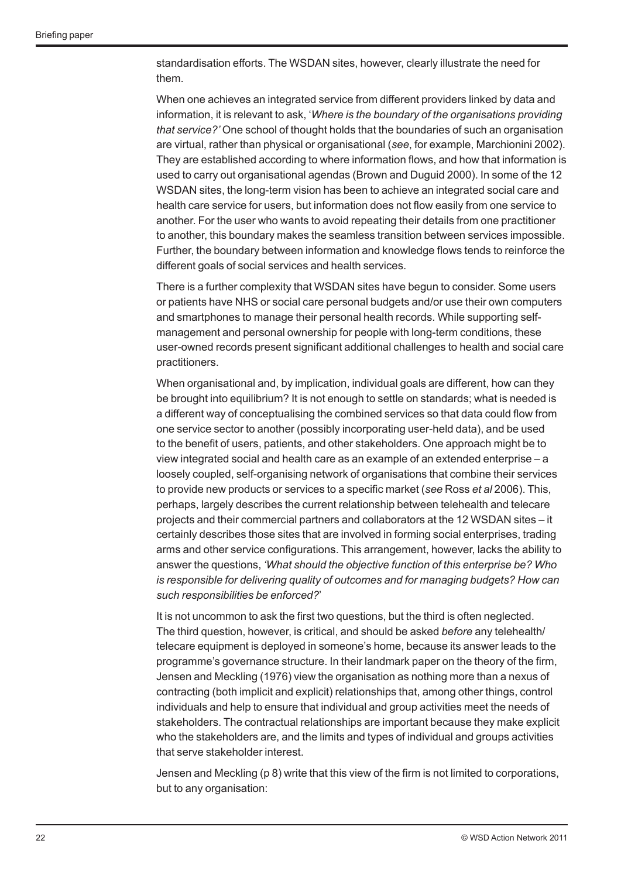standardisation efforts. The WSDAN sites, however, clearly illustrate the need for them.

When one achieves an integrated service from different providers linked by data and information, it is relevant to ask, '*Where is the boundary of the organisations providing that service?'* One school of thought holds that the boundaries of such an organisation are virtual, rather than physical or organisational (*see*, for example, Marchionini 2002). They are established according to where information flows, and how that information is used to carry out organisational agendas (Brown and Duguid 2000). In some of the 12 WSDAN sites, the long-term vision has been to achieve an integrated social care and health care service for users, but information does not flow easily from one service to another. For the user who wants to avoid repeating their details from one practitioner to another, this boundary makes the seamless transition between services impossible. Further, the boundary between information and knowledge flows tends to reinforce the different goals of social services and health services.

There is a further complexity that WSDAN sites have begun to consider. Some users or patients have NHS or social care personal budgets and/or use their own computers and smartphones to manage their personal health records. While supporting selfmanagement and personal ownership for people with long-term conditions, these user-owned records present significant additional challenges to health and social care practitioners.

When organisational and, by implication, individual goals are different, how can they be brought into equilibrium? It is not enough to settle on standards; what is needed is a different way of conceptualising the combined services so that data could flow from one service sector to another (possibly incorporating user-held data), and be used to the benefit of users, patients, and other stakeholders. One approach might be to view integrated social and health care as an example of an extended enterprise – a loosely coupled, self-organising network of organisations that combine their services to provide new products or services to a specific market (*see* Ross *et al* 2006). This, perhaps, largely describes the current relationship between telehealth and telecare projects and their commercial partners and collaborators at the 12 WSDAN sites – it certainly describes those sites that are involved in forming social enterprises, trading arms and other service configurations. This arrangement, however, lacks the ability to answer the questions, *'What should the objective function of this enterprise be? Who is responsible for delivering quality of outcomes and for managing budgets? How can such responsibilities be enforced?*'

It is not uncommon to ask the first two questions, but the third is often neglected. The third question, however, is critical, and should be asked *before* any telehealth/ telecare equipment is deployed in someone's home, because its answer leads to the programme's governance structure. In their landmark paper on the theory of the firm, Jensen and Meckling (1976) view the organisation as nothing more than a nexus of contracting (both implicit and explicit) relationships that, among other things, control individuals and help to ensure that individual and group activities meet the needs of stakeholders. The contractual relationships are important because they make explicit who the stakeholders are, and the limits and types of individual and groups activities that serve stakeholder interest.

Jensen and Meckling (p 8) write that this view of the firm is not limited to corporations, but to any organisation: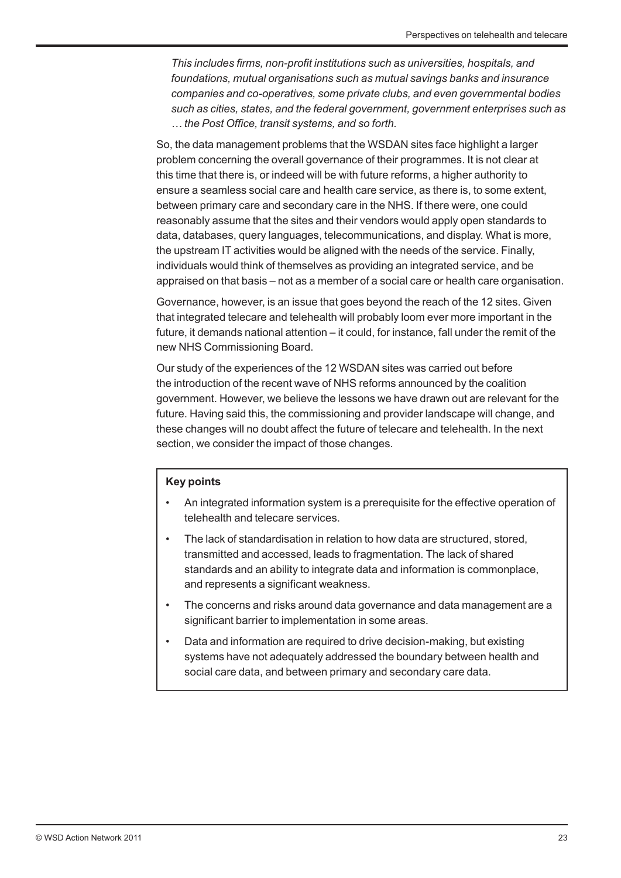*This includes firms, non-profit institutions such as universities, hospitals, and foundations, mutual organisations such as mutual savings banks and insurance companies and co-operatives, some private clubs, and even governmental bodies such as cities, states, and the federal government, government enterprises such as … the Post Office, transit systems, and so forth.*

So, the data management problems that the WSDAN sites face highlight a larger problem concerning the overall governance of their programmes. It is not clear at this time that there is, or indeed will be with future reforms, a higher authority to ensure a seamless social care and health care service, as there is, to some extent, between primary care and secondary care in the NHS. If there were, one could reasonably assume that the sites and their vendors would apply open standards to data, databases, query languages, telecommunications, and display. What is more, the upstream IT activities would be aligned with the needs of the service. Finally, individuals would think of themselves as providing an integrated service, and be appraised on that basis – not as a member of a social care or health care organisation.

Governance, however, is an issue that goes beyond the reach of the 12 sites. Given that integrated telecare and telehealth will probably loom ever more important in the future, it demands national attention – it could, for instance, fall under the remit of the new NHS Commissioning Board.

Our study of the experiences of the 12 WSDAN sites was carried out before the introduction of the recent wave of NHS reforms announced by the coalition government. However, we believe the lessons we have drawn out are relevant for the future. Having said this, the commissioning and provider landscape will change, and these changes will no doubt affect the future of telecare and telehealth. In the next section, we consider the impact of those changes.

#### **Key points**

- An integrated information system is a prerequisite for the effective operation of telehealth and telecare services.
- The lack of standardisation in relation to how data are structured, stored, transmitted and accessed, leads to fragmentation. The lack of shared standards and an ability to integrate data and information is commonplace, and represents a significant weakness.
- The concerns and risks around data governance and data management are a significant barrier to implementation in some areas.
- Data and information are required to drive decision-making, but existing systems have not adequately addressed the boundary between health and social care data, and between primary and secondary care data.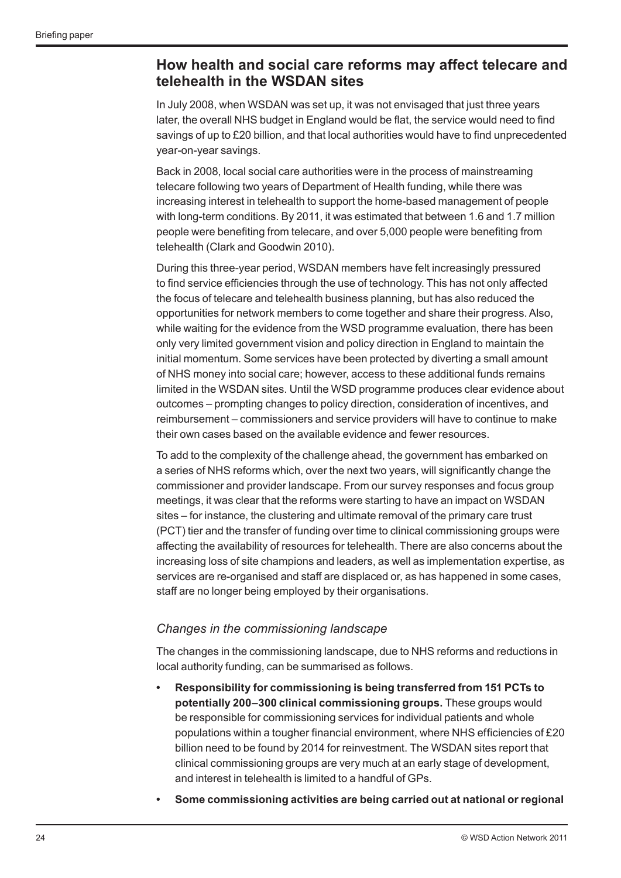# **How health and social care reforms may affect telecare and telehealth in the WSDAN sites**

In July 2008, when WSDAN was set up, it was not envisaged that just three years later, the overall NHS budget in England would be flat, the service would need to find savings of up to £20 billion, and that local authorities would have to find unprecedented year-on-year savings.

Back in 2008, local social care authorities were in the process of mainstreaming telecare following two years of Department of Health funding, while there was increasing interest in telehealth to support the home-based management of people with long-term conditions. By 2011, it was estimated that between 1.6 and 1.7 million people were benefiting from telecare, and over 5,000 people were benefiting from telehealth (Clark and Goodwin 2010).

During this three-year period, WSDAN members have felt increasingly pressured to find service efficiencies through the use of technology. This has not only affected the focus of telecare and telehealth business planning, but has also reduced the opportunities for network members to come together and share their progress. Also, while waiting for the evidence from the WSD programme evaluation, there has been only very limited government vision and policy direction in England to maintain the initial momentum. Some services have been protected by diverting a small amount of NHS money into social care; however, access to these additional funds remains limited in the WSDAN sites. Until the WSD programme produces clear evidence about outcomes – prompting changes to policy direction, consideration of incentives, and reimbursement – commissioners and service providers will have to continue to make their own cases based on the available evidence and fewer resources.

To add to the complexity of the challenge ahead, the government has embarked on a series of NHS reforms which, over the next two years, will significantly change the commissioner and provider landscape. From our survey responses and focus group meetings, it was clear that the reforms were starting to have an impact on WSDAN sites – for instance, the clustering and ultimate removal of the primary care trust (PCT) tier and the transfer of funding over time to clinical commissioning groups were affecting the availability of resources for telehealth. There are also concerns about the increasing loss of site champions and leaders, as well as implementation expertise, as services are re-organised and staff are displaced or, as has happened in some cases, staff are no longer being employed by their organisations.

## *Changes in the commissioning landscape*

The changes in the commissioning landscape, due to NHS reforms and reductions in local authority funding, can be summarised as follows.

- **• Responsibility for commissioning is being transferred from 151 PCTs to potentially 200–300 clinical commissioning groups.** These groups would be responsible for commissioning services for individual patients and whole populations within a tougher financial environment, where NHS efficiencies of £20 billion need to be found by 2014 for reinvestment. The WSDAN sites report that clinical commissioning groups are very much at an early stage of development, and interest in telehealth is limited to a handful of GPs.
- **Some commissioning activities are being carried out at national or regional**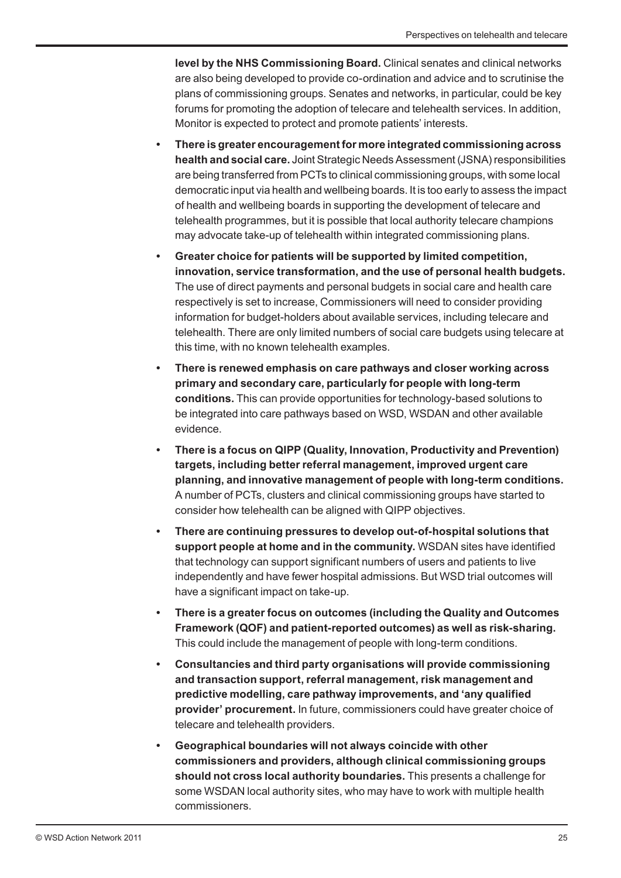**level by the NHS Commissioning Board.** Clinical senates and clinical networks are also being developed to provide co-ordination and advice and to scrutinise the plans of commissioning groups. Senates and networks, in particular, could be key forums for promoting the adoption of telecare and telehealth services. In addition, Monitor is expected to protect and promote patients' interests.

- **• There is greater encouragement for more integrated commissioning across health and social care.** Joint Strategic Needs Assessment (JSNA) responsibilities are being transferred from PCTs to clinical commissioning groups, with some local democratic input via health and wellbeing boards. It is too early to assess the impact of health and wellbeing boards in supporting the development of telecare and telehealth programmes, but it is possible that local authority telecare champions may advocate take-up of telehealth within integrated commissioning plans.
- **Greater choice for patients will be supported by limited competition, innovation, service transformation, and the use of personal health budgets.** The use of direct payments and personal budgets in social care and health care respectively is set to increase, Commissioners will need to consider providing information for budget-holders about available services, including telecare and telehealth. There are only limited numbers of social care budgets using telecare at this time, with no known telehealth examples.
- **• There is renewed emphasis on care pathways and closer working across primary and secondary care, particularly for people with long-term conditions.** This can provide opportunities for technology-based solutions to be integrated into care pathways based on WSD, WSDAN and other available evidence.
- **There is a focus on QIPP (Quality, Innovation, Productivity and Prevention) targets, including better referral management, improved urgent care planning, and innovative management of people with long-term conditions.**  A number of PCTs, clusters and clinical commissioning groups have started to consider how telehealth can be aligned with QIPP objectives.
- **• There are continuing pressures to develop out-of-hospital solutions that support people at home and in the community.** WSDAN sites have identified that technology can support significant numbers of users and patients to live independently and have fewer hospital admissions. But WSD trial outcomes will have a significant impact on take-up.
- **• There is a greater focus on outcomes (including the Quality and Outcomes Framework (QOF) and patient-reported outcomes) as well as risk-sharing.** This could include the management of people with long-term conditions.
- **• Consultancies and third party organisations will provide commissioning and transaction support, referral management, risk management and predictive modelling, care pathway improvements, and 'any qualified provider' procurement.** In future, commissioners could have greater choice of telecare and telehealth providers.
- **Geographical boundaries will not always coincide with other commissioners and providers, although clinical commissioning groups should not cross local authority boundaries.** This presents a challenge for some WSDAN local authority sites, who may have to work with multiple health commissioners.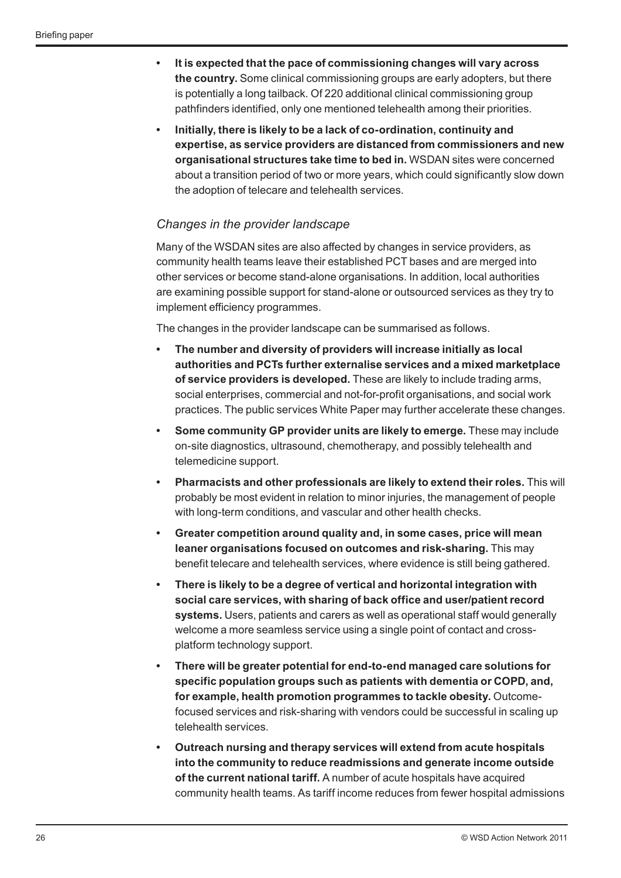- It is expected that the pace of commissioning changes will vary across **the country.** Some clinical commissioning groups are early adopters, but there is potentially a long tailback. Of 220 additional clinical commissioning group pathfinders identified, only one mentioned telehealth among their priorities.
- **• Initially, there is likely to be a lack of co-ordination, continuity and expertise, as service providers are distanced from commissioners and new organisational structures take time to bed in.** WSDAN sites were concerned about a transition period of two or more years, which could significantly slow down the adoption of telecare and telehealth services.

## *Changes in the provider landscape*

Many of the WSDAN sites are also affected by changes in service providers, as community health teams leave their established PCT bases and are merged into other services or become stand-alone organisations. In addition, local authorities are examining possible support for stand-alone or outsourced services as they try to implement efficiency programmes.

The changes in the provider landscape can be summarised as follows.

- **• The number and diversity of providers will increase initially as local authorities and PCTs further externalise services and a mixed marketplace of service providers is developed.** These are likely to include trading arms, social enterprises, commercial and not-for-profit organisations, and social work practices. The public services White Paper may further accelerate these changes.
- **Some community GP provider units are likely to emerge.** These may include on-site diagnostics, ultrasound, chemotherapy, and possibly telehealth and telemedicine support.
- **Pharmacists and other professionals are likely to extend their roles.** This will probably be most evident in relation to minor injuries, the management of people with long-term conditions, and vascular and other health checks.
- **Greater competition around quality and, in some cases, price will mean leaner organisations focused on outcomes and risk-sharing.** This may benefit telecare and telehealth services, where evidence is still being gathered.
- **• There is likely to be a degree of vertical and horizontal integration with social care services, with sharing of back office and user/patient record systems.** Users, patients and carers as well as operational staff would generally welcome a more seamless service using a single point of contact and crossplatform technology support.
- **• There will be greater potential for end-to-end managed care solutions for specific population groups such as patients with dementia or COPD, and, for example, health promotion programmes to tackle obesity.** Outcomefocused services and risk-sharing with vendors could be successful in scaling up telehealth services.
- **• Outreach nursing and therapy services will extend from acute hospitals into the community to reduce readmissions and generate income outside of the current national tariff.** A number of acute hospitals have acquired community health teams. As tariff income reduces from fewer hospital admissions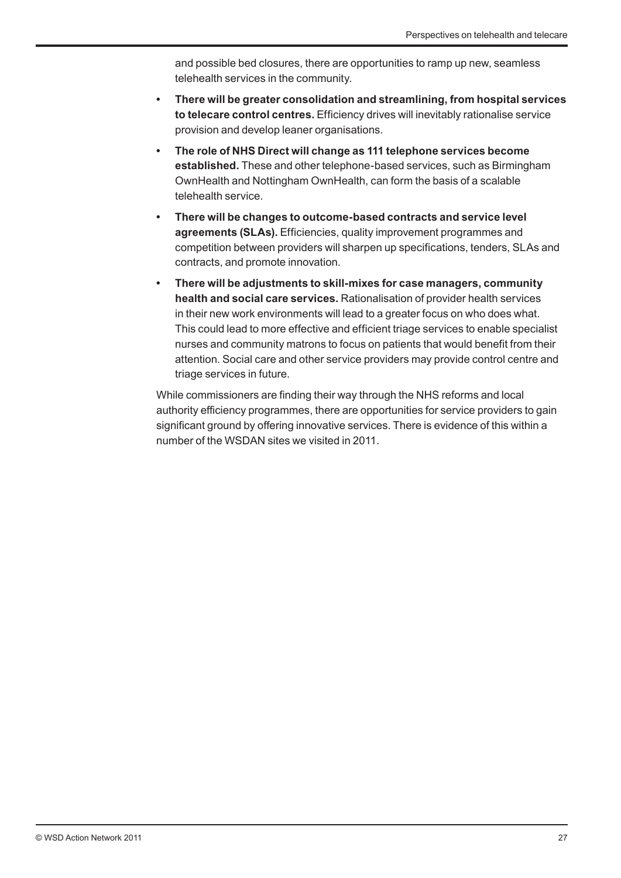and possible bed closures, there are opportunities to ramp up new, seamless telehealth services in the community.

- **• There will be greater consolidation and streamlining, from hospital services to telecare control centres.** Efficiency drives will inevitably rationalise service provision and develop leaner organisations.
- **• The role of NHS Direct will change as 111 telephone services become established.** These and other telephone-based services, such as Birmingham OwnHealth and Nottingham OwnHealth, can form the basis of a scalable telehealth service.
- **There will be changes to outcome-based contracts and service level agreements (SLAs).** Efficiencies, quality improvement programmes and competition between providers will sharpen up specifications, tenders, SLAs and contracts, and promote innovation.
- **• There will be adjustments to skill-mixes for case managers, community health and social care services.** Rationalisation of provider health services in their new work environments will lead to a greater focus on who does what. This could lead to more effective and efficient triage services to enable specialist nurses and community matrons to focus on patients that would benefit from their attention. Social care and other service providers may provide control centre and triage services in future.

While commissioners are finding their way through the NHS reforms and local authority efficiency programmes, there are opportunities for service providers to gain significant ground by offering innovative services. There is evidence of this within a number of the WSDAN sites we visited in 2011.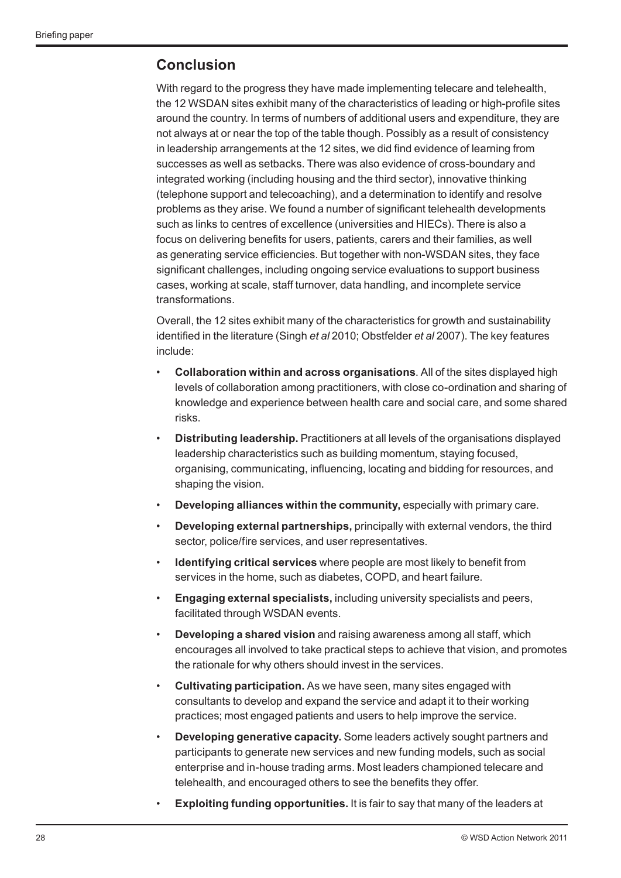## **Conclusion**

With regard to the progress they have made implementing telecare and telehealth, the 12 WSDAN sites exhibit many of the characteristics of leading or high-profile sites around the country. In terms of numbers of additional users and expenditure, they are not always at or near the top of the table though. Possibly as a result of consistency in leadership arrangements at the 12 sites, we did find evidence of learning from successes as well as setbacks. There was also evidence of cross-boundary and integrated working (including housing and the third sector), innovative thinking (telephone support and telecoaching), and a determination to identify and resolve problems as they arise. We found a number of significant telehealth developments such as links to centres of excellence (universities and HIECs). There is also a focus on delivering benefits for users, patients, carers and their families, as well as generating service efficiencies. But together with non-WSDAN sites, they face significant challenges, including ongoing service evaluations to support business cases, working at scale, staff turnover, data handling, and incomplete service transformations.

Overall, the 12 sites exhibit many of the characteristics for growth and sustainability identified in the literature (Singh *et al* 2010; Obstfelder *et al* 2007). The key features include:

- **Collaboration within and across organisations**. All of the sites displayed high levels of collaboration among practitioners, with close co-ordination and sharing of knowledge and experience between health care and social care, and some shared risks.
- **Distributing leadership.** Practitioners at all levels of the organisations displayed leadership characteristics such as building momentum, staying focused, organising, communicating, influencing, locating and bidding for resources, and shaping the vision.
- **Developing alliances within the community, especially with primary care.**
- **Developing external partnerships, principally with external vendors, the third** sector, police/fire services, and user representatives.
- **Identifying critical services** where people are most likely to benefit from services in the home, such as diabetes, COPD, and heart failure.
- **Engaging external specialists, including university specialists and peers,** facilitated through WSDAN events.
- **Developing a shared vision** and raising awareness among all staff, which encourages all involved to take practical steps to achieve that vision, and promotes the rationale for why others should invest in the services.
- **Cultivating participation.** As we have seen, many sites engaged with consultants to develop and expand the service and adapt it to their working practices; most engaged patients and users to help improve the service.
- **Developing generative capacity.** Some leaders actively sought partners and participants to generate new services and new funding models, such as social enterprise and in-house trading arms. Most leaders championed telecare and telehealth, and encouraged others to see the benefits they offer.
- **Exploiting funding opportunities.** It is fair to say that many of the leaders at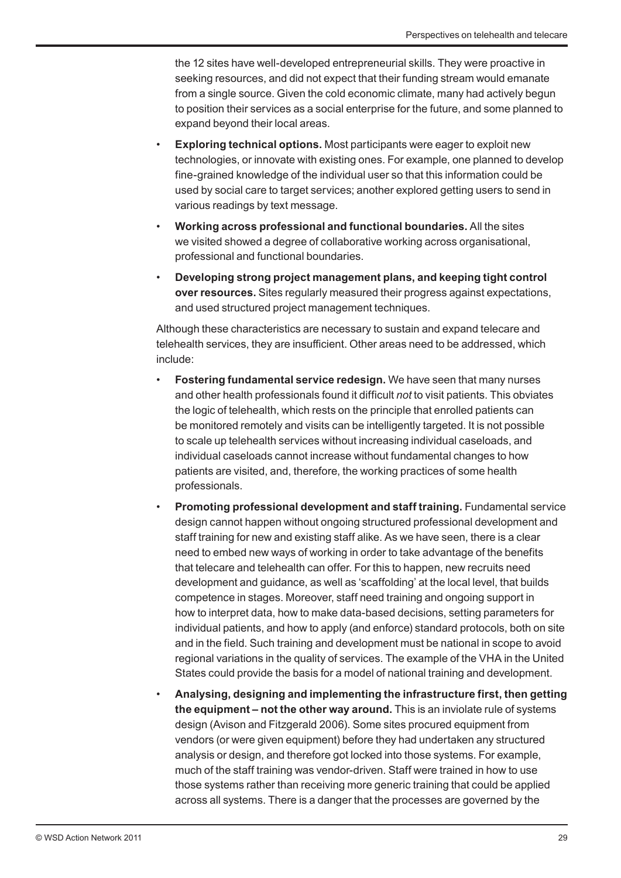the 12 sites have well-developed entrepreneurial skills. They were proactive in seeking resources, and did not expect that their funding stream would emanate from a single source. Given the cold economic climate, many had actively begun to position their services as a social enterprise for the future, and some planned to expand beyond their local areas.

- **Exploring technical options.** Most participants were eager to exploit new technologies, or innovate with existing ones. For example, one planned to develop fine-grained knowledge of the individual user so that this information could be used by social care to target services; another explored getting users to send in various readings by text message.
- **Working across professional and functional boundaries.** All the sites we visited showed a degree of collaborative working across organisational, professional and functional boundaries.
- **Developing strong project management plans, and keeping tight control over resources.** Sites regularly measured their progress against expectations, and used structured project management techniques.

Although these characteristics are necessary to sustain and expand telecare and telehealth services, they are insufficient. Other areas need to be addressed, which include:

- **Fostering fundamental service redesign.** We have seen that many nurses and other health professionals found it difficult *not* to visit patients. This obviates the logic of telehealth, which rests on the principle that enrolled patients can be monitored remotely and visits can be intelligently targeted. It is not possible to scale up telehealth services without increasing individual caseloads, and individual caseloads cannot increase without fundamental changes to how patients are visited, and, therefore, the working practices of some health professionals.
- **Promoting professional development and staff training.** Fundamental service design cannot happen without ongoing structured professional development and staff training for new and existing staff alike. As we have seen, there is a clear need to embed new ways of working in order to take advantage of the benefits that telecare and telehealth can offer. For this to happen, new recruits need development and guidance, as well as 'scaffolding' at the local level, that builds competence in stages. Moreover, staff need training and ongoing support in how to interpret data, how to make data-based decisions, setting parameters for individual patients, and how to apply (and enforce) standard protocols, both on site and in the field. Such training and development must be national in scope to avoid regional variations in the quality of services. The example of the VHA in the United States could provide the basis for a model of national training and development.
- • **Analysing, designing and implementing the infrastructure first, then getting the equipment – not the other way around.** This is an inviolate rule of systems design (Avison and Fitzgerald 2006). Some sites procured equipment from vendors (or were given equipment) before they had undertaken any structured analysis or design, and therefore got locked into those systems. For example, much of the staff training was vendor-driven. Staff were trained in how to use those systems rather than receiving more generic training that could be applied across all systems. There is a danger that the processes are governed by the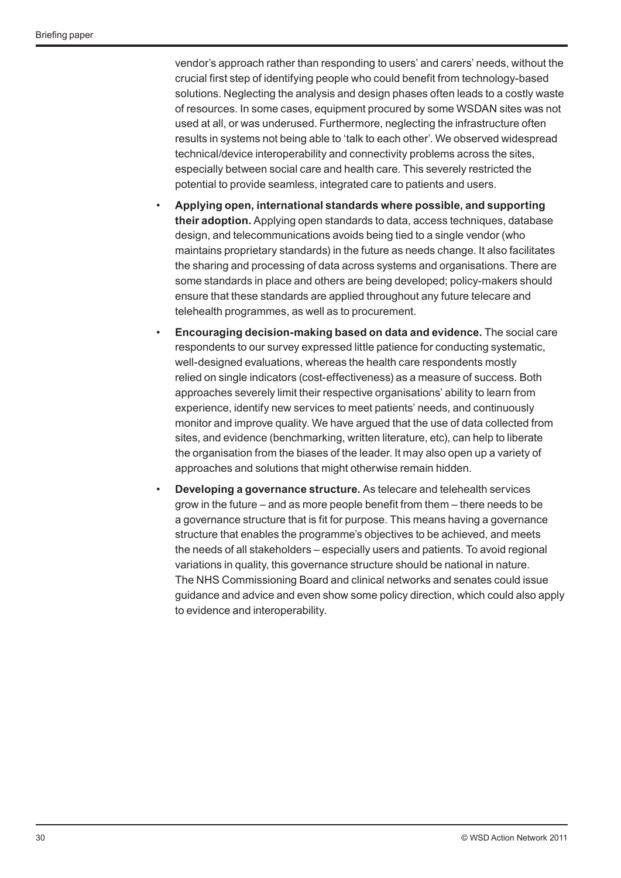vendor's approach rather than responding to users' and carers' needs, without the crucial first step of identifying people who could benefit from technology-based solutions. Neglecting the analysis and design phases often leads to a costly waste of resources. In some cases, equipment procured by some WSDAN sites was not used at all, or was underused. Furthermore, neglecting the infrastructure often results in systems not being able to 'talk to each other'. We observed widespread technical/device interoperability and connectivity problems across the sites, especially between social care and health care. This severely restricted the potential to provide seamless, integrated care to patients and users.

- • **Applying open, international standards where possible, and supporting their adoption.** Applying open standards to data, access techniques, database design, and telecommunications avoids being tied to a single vendor (who maintains proprietary standards) in the future as needs change. It also facilitates the sharing and processing of data across systems and organisations. There are some standards in place and others are being developed; policy-makers should ensure that these standards are applied throughout any future telecare and telehealth programmes, as well as to procurement.
- **Encouraging decision-making based on data and evidence.** The social care respondents to our survey expressed little patience for conducting systematic, well-designed evaluations, whereas the health care respondents mostly relied on single indicators (cost-effectiveness) as a measure of success. Both approaches severely limit their respective organisations' ability to learn from experience, identify new services to meet patients' needs, and continuously monitor and improve quality. We have argued that the use of data collected from sites, and evidence (benchmarking, written literature, etc), can help to liberate the organisation from the biases of the leader. It may also open up a variety of approaches and solutions that might otherwise remain hidden.
- **Developing a governance structure.** As telecare and telehealth services grow in the future – and as more people benefit from them – there needs to be a governance structure that is fit for purpose. This means having a governance structure that enables the programme's objectives to be achieved, and meets the needs of all stakeholders – especially users and patients. To avoid regional variations in quality, this governance structure should be national in nature. The NHS Commissioning Board and clinical networks and senates could issue guidance and advice and even show some policy direction, which could also apply to evidence and interoperability.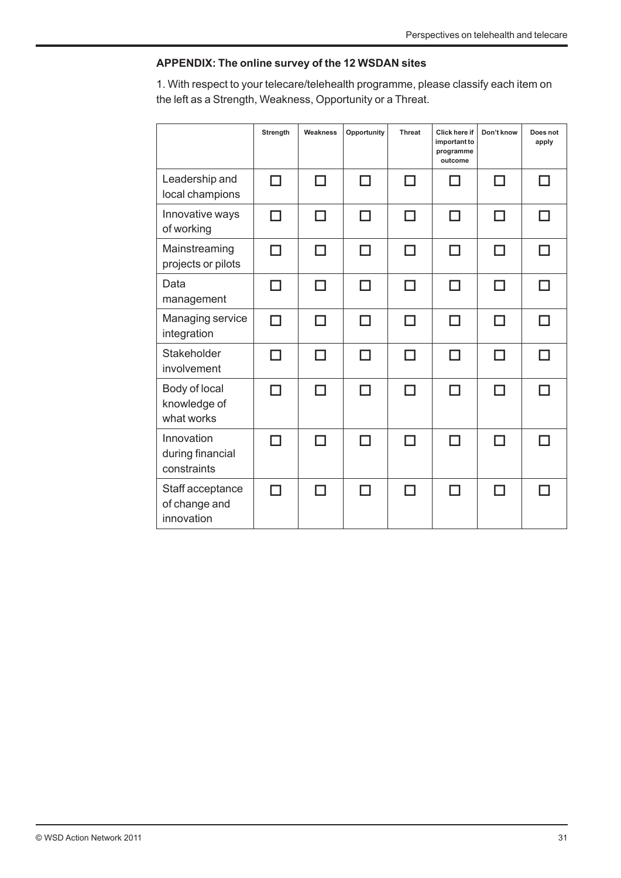#### **APPENDIX: The online survey of the 12 WSDAN sites**

1. With respect to your telecare/telehealth programme, please classify each item on the left as a Strength, Weakness, Opportunity or a Threat.

|                                                 | Strength | <b>Weakness</b> | Opportunity | <b>Threat</b> | <b>Click here if</b><br>important to<br>programme<br>outcome | Don't know | Does not<br>apply |
|-------------------------------------------------|----------|-----------------|-------------|---------------|--------------------------------------------------------------|------------|-------------------|
| Leadership and<br>local champions               | □        | ٦               | П           | П             | - 1                                                          | П          |                   |
| Innovative ways<br>of working                   | ┐        | . I             | П           | H             | - 1                                                          | П          |                   |
| Mainstreaming<br>projects or pilots             | п        | ┓               | П           | П             | П                                                            | П          |                   |
| Data<br>management                              | ┓        | ٦               | П           | ┓             | П                                                            | П          |                   |
| Managing service<br>integration                 | . I      | $\mathcal{A}$   | П           | $\mathcal{L}$ |                                                              | l.         |                   |
| Stakeholder<br>involvement                      | - 1      | - 1             | П           | ٦             | ΙI                                                           | H          |                   |
| Body of local<br>knowledge of<br>what works     | □        | ┑               | П           | П             | П                                                            | П          |                   |
| Innovation<br>during financial<br>constraints   | □        | ┓               | П           | П             | П                                                            | П          |                   |
| Staff acceptance<br>of change and<br>innovation | ┐        | ٦               | П           | ٦             | П                                                            | П          |                   |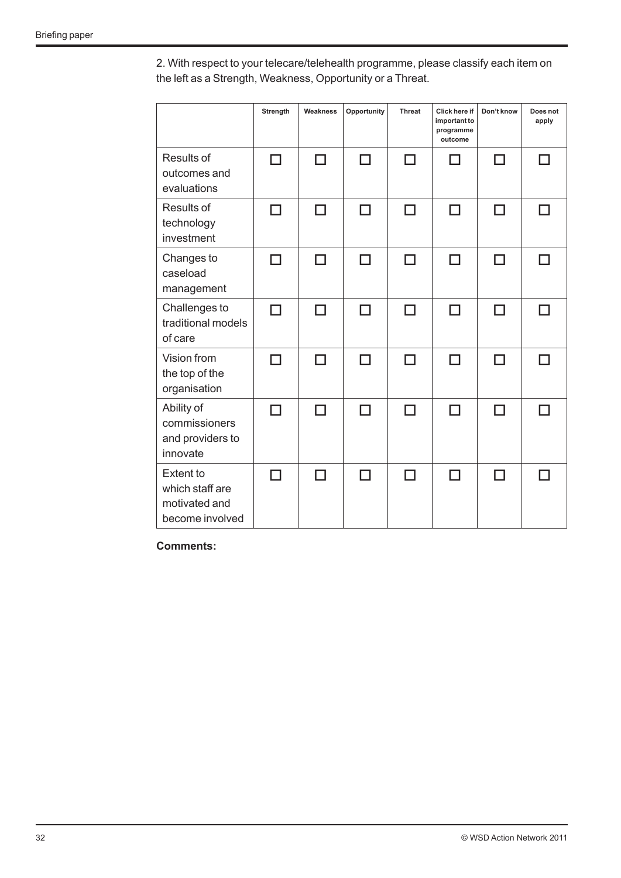|                                                                         | Strength | Weakness | Opportunity | <b>Threat</b> | Click here if<br>important to<br>programme<br>outcome | Don't know | Does not<br>apply |
|-------------------------------------------------------------------------|----------|----------|-------------|---------------|-------------------------------------------------------|------------|-------------------|
| Results of<br>outcomes and<br>evaluations                               | ┑        | ┓        | П           | П             | ┐                                                     | ┓          |                   |
| Results of<br>technology<br>investment                                  | ┑        | ┑        | П           | П             | П                                                     | П          | H                 |
| Changes to<br>caseload<br>management                                    | □        | ┓        | П           | П             | П                                                     | П          |                   |
| Challenges to<br>traditional models<br>of care                          | □        | ┓        | П           | П             | П                                                     | H          | H                 |
| Vision from<br>the top of the<br>organisation                           | ┓        | - 1      | П           | П             | П                                                     | П          | H                 |
| Ability of<br>commissioners<br>and providers to<br>innovate             |          |          |             |               |                                                       |            |                   |
| <b>Extent to</b><br>which staff are<br>motivated and<br>become involved | П        | . I      | п           | П             | П                                                     | H          | ΙI                |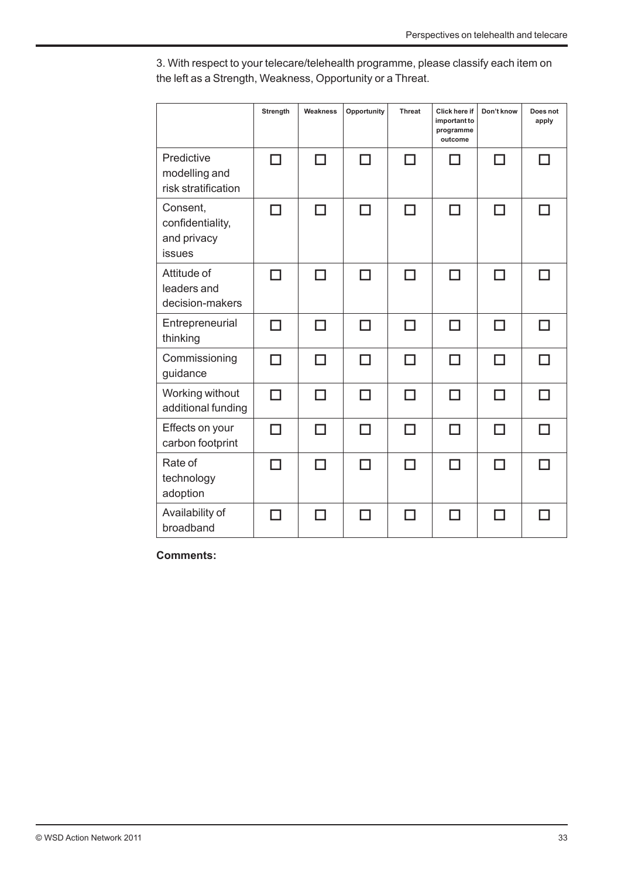|                                                       | Strength | <b>Weakness</b> | Opportunity | <b>Threat</b> | Click here if<br>important to<br>programme<br>outcome | Don't know | Does not<br>apply |
|-------------------------------------------------------|----------|-----------------|-------------|---------------|-------------------------------------------------------|------------|-------------------|
| Predictive<br>modelling and<br>risk stratification    | П        | - 1             | - 1         | П             |                                                       |            |                   |
| Consent,<br>confidentiality,<br>and privacy<br>issues | ┓        | □               | ┑           | п             | П                                                     |            |                   |
| Attitude of<br>leaders and<br>decision-makers         | П        | п               | □           | П             | П                                                     | П          |                   |
| Entrepreneurial<br>thinking                           | П        | П               | □           | П             | П                                                     | П          |                   |
| Commissioning<br>guidance                             | ┓        | - 1             |             |               |                                                       | . I        |                   |
| Working without<br>additional funding                 | П        | ┓               | ┓           | $\mathbf{I}$  | H                                                     | n l        |                   |
| Effects on your<br>carbon footprint                   | П        | П               | ┓           |               | П                                                     | П          |                   |
| Rate of<br>technology<br>adoption                     | ┓        | ┓               | ۰           | П             | П                                                     | ٦          |                   |
| Availability of<br>broadband                          | - 1      | - 1             |             |               |                                                       |            |                   |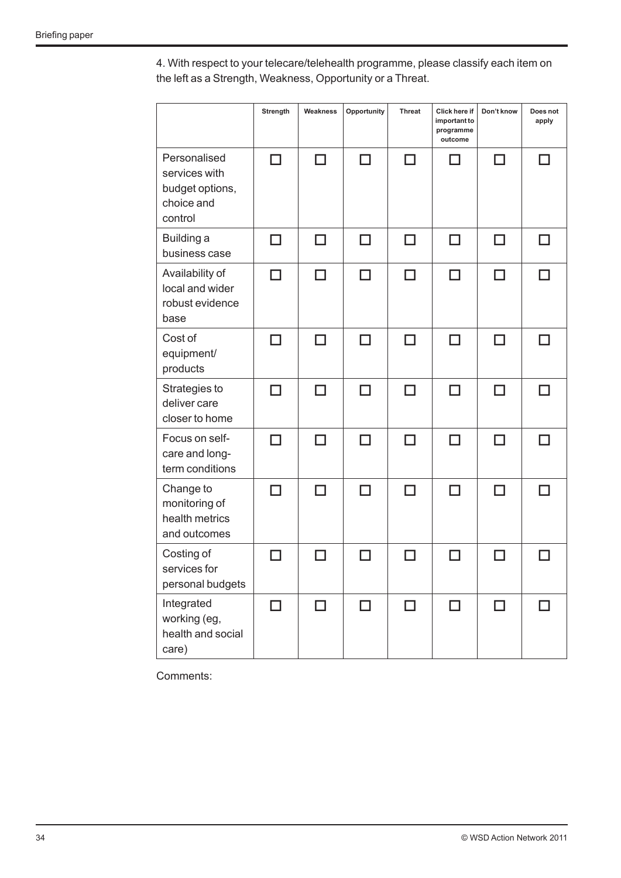|                                                                           | Strength | Weakness | Opportunity | <b>Threat</b> | Click here if<br>important to<br>programme<br>outcome | Don't know   | Does not<br>apply |
|---------------------------------------------------------------------------|----------|----------|-------------|---------------|-------------------------------------------------------|--------------|-------------------|
| Personalised<br>services with<br>budget options,<br>choice and<br>control | П        | П        | П           | П             | П                                                     | П            | П                 |
| Building a<br>business case                                               | П        | П        | П           | П             | П                                                     | П            | П                 |
| Availability of<br>local and wider<br>robust evidence<br>base             | ┐        | ┑        | ┓           | П             | П                                                     | П            |                   |
| Cost of<br>equipment/<br>products                                         | П        | П        | П           | П             | П                                                     | П            | П                 |
| Strategies to<br>deliver care<br>closer to home                           | П        | П        | П           | П             | П                                                     | П            | П                 |
| Focus on self-<br>care and long-<br>term conditions                       | П        | П        | П           | П             | П                                                     | П            | ⊓                 |
| Change to<br>monitoring of<br>health metrics<br>and outcomes              | П        | П        | П           | П             | П                                                     | П            | П                 |
| Costing of<br>services for<br>personal budgets                            | . I      | ┓        | . I         | . I           | . I                                                   | $\mathbf{I}$ |                   |
| Integrated<br>working (eg,<br>health and social<br>care)                  | $\Box$   | $\Box$   | $\Box$      | $\Box$        | $\Box$                                                | $\Box$       | П                 |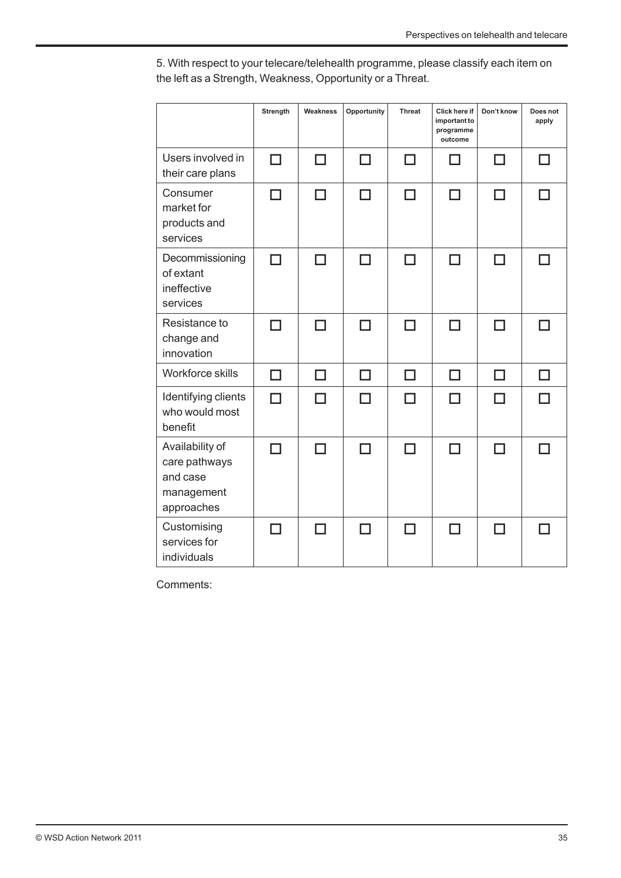|                                                                          | Strength | <b>Weakness</b> | Opportunity | <b>Threat</b> | Click here if<br>important to<br>programme<br>outcome | Don't know | Does not<br>apply |
|--------------------------------------------------------------------------|----------|-----------------|-------------|---------------|-------------------------------------------------------|------------|-------------------|
| Users involved in<br>their care plans                                    | П        | П               | □           | П             |                                                       |            |                   |
| Consumer<br>market for<br>products and<br>services                       | П        | H               | П           | H             | ΙI                                                    | H          |                   |
| Decommissioning<br>of extant<br>ineffective<br>services                  | П        | П               | □           | п             | П                                                     |            |                   |
| Resistance to<br>change and<br>innovation                                | П        | П               | П           | П             | П                                                     | П          |                   |
| Workforce skills                                                         | П        | П               | п           | П             | П                                                     | П          |                   |
| Identifying clients<br>who would most<br>benefit                         | П        | П               | □           | П             | П                                                     |            |                   |
| Availability of<br>care pathways<br>and case<br>management<br>approaches | п        | П               | П           | П             | П                                                     | H          |                   |
| Customising<br>services for<br>individuals                               |          |                 |             |               |                                                       |            |                   |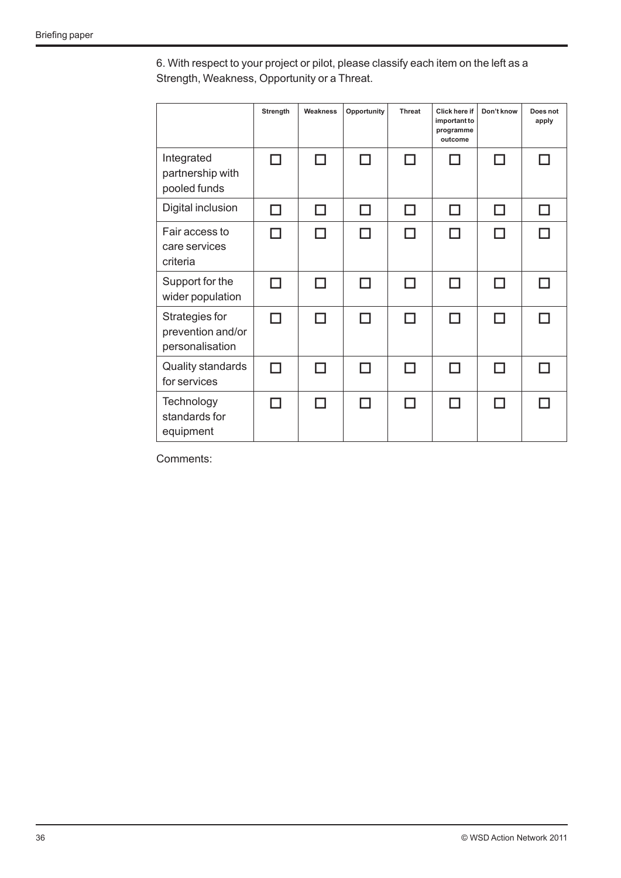6. With respect to your project or pilot, please classify each item on the left as a Strength, Weakness, Opportunity or a Threat.

|                                                        | Strength | Weakness | Opportunity | <b>Threat</b> | <b>Click here if</b><br>important to<br>programme<br>outcome | Don't know | Does not<br>apply |
|--------------------------------------------------------|----------|----------|-------------|---------------|--------------------------------------------------------------|------------|-------------------|
| Integrated<br>partnership with<br>pooled funds         | П        | □        | □           | П             | - 1                                                          |            |                   |
| Digital inclusion                                      | H        | l.       | ΓΙ          | П             | H                                                            | n d        | H                 |
| Fair access to<br>care services<br>criteria            | П        | □        | П           | П             | П                                                            | n          |                   |
| Support for the<br>wider population                    | П        | ┓        | □           | П             | П                                                            | $\Box$     |                   |
| Strategies for<br>prevention and/or<br>personalisation | □        | ٦        | ┓           | П             | □                                                            |            |                   |
| Quality standards<br>for services                      | □        | ٦        | □           | П             | $\Box$                                                       |            |                   |
| Technology<br>standards for<br>equipment               |          |          |             | H             | - 1                                                          |            |                   |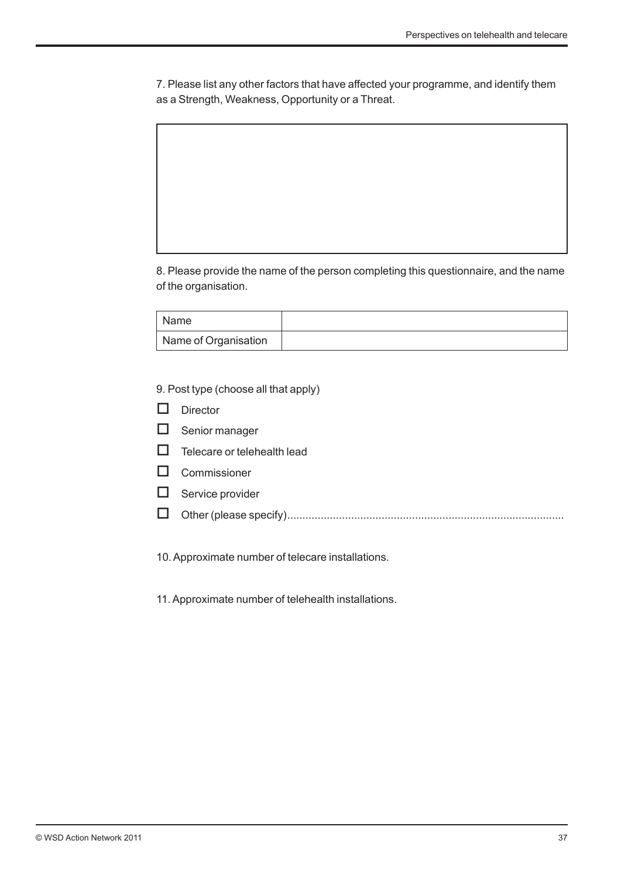7. Please list any other factors that have affected your programme, and identify them as a Strength, Weakness, Opportunity or a Threat.

8. Please provide the name of the person completing this questionnaire, and the name of the organisation.

| Name                 |  |
|----------------------|--|
| Name of Organisation |  |

9. Post type (choose all that apply)

- Director
- $\Box$  Senior manager
- $\Box$  Telecare or telehealth lead
- $\square$  Commissioner
- $\Box$  Service provider
- Other (please specify)...........................................................................................

10.Approximate number of telecare installations.

11.Approximate number of telehealth installations.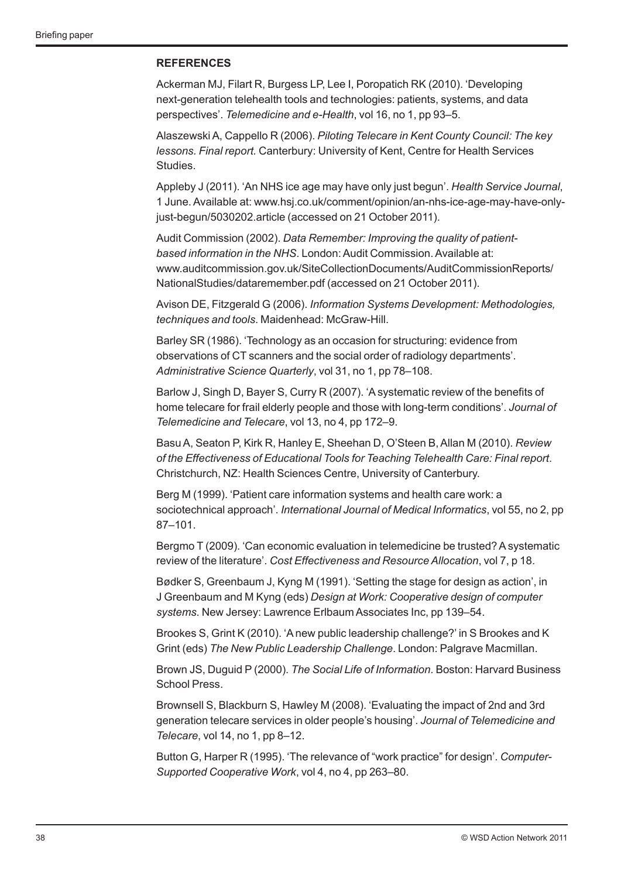#### **REFERENCES**

Ackerman MJ, Filart R, Burgess LP, Lee I, Poropatich RK (2010). 'Developing next-generation telehealth tools and technologies: patients, systems, and data perspectives'. *Telemedicine and e-Health*, vol 16, no 1, pp 93–5.

Alaszewski A, Cappello R (2006). *Piloting Telecare in Kent County Council: The key lessons. Final report.* Canterbury: University of Kent, Centre for Health Services Studies.

Appleby J (2011). 'An NHS ice age may have only just begun'. *Health Service Journal*, 1 June. Available at: www.hsj.co.uk/comment/opinion/an-nhs-ice-age-may-have-onlyjust-begun/5030202.article (accessed on 21 October 2011).

Audit Commission (2002). *Data Remember: Improving the quality of patientbased information in the NHS*. London: Audit Commission. Available at: www.auditcommission.gov.uk/SiteCollectionDocuments/AuditCommissionReports/ NationalStudies/dataremember.pdf (accessed on 21 October 2011).

Avison DE, Fitzgerald G (2006). *Information Systems Development: Methodologies, techniques and tools*. Maidenhead: McGraw-Hill.

Barley SR (1986). 'Technology as an occasion for structuring: evidence from observations of CT scanners and the social order of radiology departments'. *Administrative Science Quarterly*, vol 31, no 1, pp 78–108.

Barlow J, Singh D, Bayer S, Curry R (2007). 'A systematic review of the benefits of home telecare for frail elderly people and those with long-term conditions'. *Journal of Telemedicine and Telecare*, vol 13, no 4, pp 172–9.

Basu A, Seaton P, Kirk R, Hanley E, Sheehan D, O'Steen B, Allan M (2010). *Review of the Effectiveness of Educational Tools for Teaching Telehealth Care: Final report*. Christchurch, NZ: Health Sciences Centre, University of Canterbury.

Berg M (1999). 'Patient care information systems and health care work: a sociotechnical approach'. *International Journal of Medical Informatics*, vol 55, no 2, pp 87–101.

Bergmo T (2009). 'Can economic evaluation in telemedicine be trusted? A systematic review of the literature'. *Cost Effectiveness and Resource Allocation*, vol 7, p 18.

Bødker S, Greenbaum J, Kyng M (1991). 'Setting the stage for design as action', in J Greenbaum and M Kyng (eds) *Design at Work: Cooperative design of computer systems*. New Jersey: Lawrence Erlbaum Associates Inc, pp 139–54.

Brookes S, Grint K (2010). 'A new public leadership challenge?' in S Brookes and K Grint (eds) *The New Public Leadership Challenge*. London: Palgrave Macmillan.

Brown JS, Duguid P (2000). *The Social Life of Information*. Boston: Harvard Business School Press.

Brownsell S, Blackburn S, Hawley M (2008). 'Evaluating the impact of 2nd and 3rd generation telecare services in older people's housing'. *Journal of Telemedicine and Telecare*, vol 14, no 1, pp 8–12.

Button G, Harper R (1995). 'The relevance of "work practice" for design'. *Computer-Supported Cooperative Work*, vol 4, no 4, pp 263–80.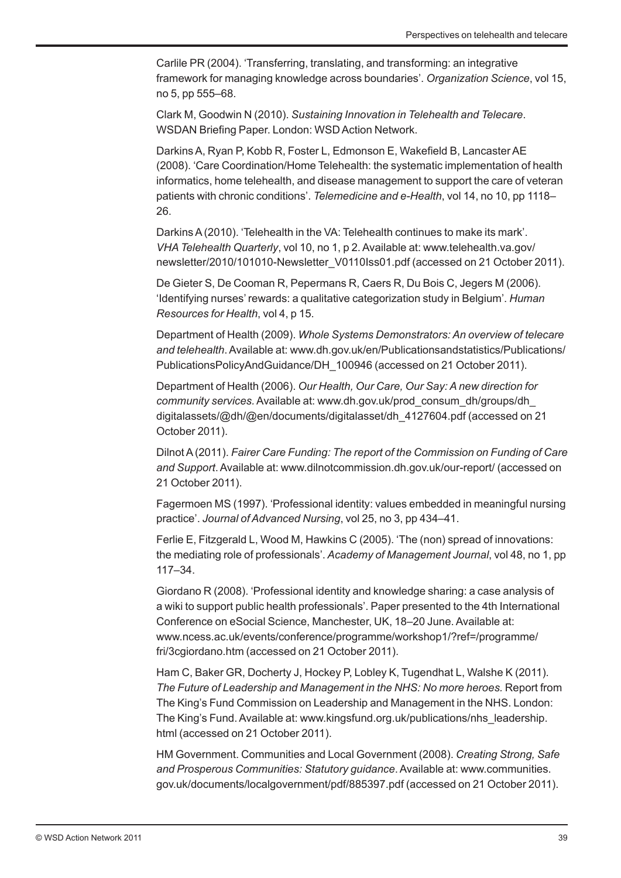Carlile PR (2004). 'Transferring, translating, and transforming: an integrative framework for managing knowledge across boundaries'. *Organization Science*, vol 15, no 5, pp 555–68.

Clark M, Goodwin N (2010). *Sustaining Innovation in Telehealth and Telecare*. WSDAN Briefing Paper. London: WSD Action Network.

Darkins A, Ryan P, Kobb R, Foster L, Edmonson E, Wakefield B, Lancaster AE (2008). 'Care Coordination/Home Telehealth: the systematic implementation of health informatics, home telehealth, and disease management to support the care of veteran patients with chronic conditions'. *Telemedicine and e-Health*, vol 14, no 10, pp 1118– 26.

Darkins A (2010). 'Telehealth in the VA: Telehealth continues to make its mark'. *VHA Telehealth Quarterly*, vol 10, no 1, p 2. Available at: www.telehealth.va.gov/ newsletter/2010/101010-Newsletter\_V0110Iss01.pdf (accessed on 21 October 2011).

De Gieter S, De Cooman R, Pepermans R, Caers R, Du Bois C, Jegers M (2006). 'Identifying nurses' rewards: a qualitative categorization study in Belgium'. *Human Resources for Health*, vol 4, p 15.

Department of Health (2009). *Whole Systems Demonstrators: An overview of telecare and telehealth*. Available at: www.dh.gov.uk/en/Publicationsandstatistics/Publications/ PublicationsPolicyAndGuidance/DH\_100946 (accessed on 21 October 2011).

Department of Health (2006). *Our Health, Our Care, Our Say: A new direction for community services.* Available at: www.dh.gov.uk/prod\_consum\_dh/groups/dh\_ digitalassets/@dh/@en/documents/digitalasset/dh\_4127604.pdf (accessed on 21 October 2011).

Dilnot A (2011). *Fairer Care Funding: The report of the Commission on Funding of Care and Support*. Available at: www.dilnotcommission.dh.gov.uk/our-report/ (accessed on 21 October 2011).

Fagermoen MS (1997). 'Professional identity: values embedded in meaningful nursing practice'. *Journal of Advanced Nursing*, vol 25, no 3, pp 434–41.

Ferlie E, Fitzgerald L, Wood M, Hawkins C (2005). 'The (non) spread of innovations: the mediating role of professionals'. *Academy of Management Journal*, vol 48, no 1, pp 117–34.

Giordano R (2008). 'Professional identity and knowledge sharing: a case analysis of a wiki to support public health professionals'. Paper presented to the 4th International Conference on eSocial Science, Manchester, UK, 18–20 June. Available at: www.ncess.ac.uk/events/conference/programme/workshop1/?ref=/programme/ fri/3cgiordano.htm (accessed on 21 October 2011).

Ham C, Baker GR, Docherty J, Hockey P, Lobley K, Tugendhat L, Walshe K (2011). *The Future of Leadership and Management in the NHS: No more heroes.* Report from The King's Fund Commission on Leadership and Management in the NHS. London: The King's Fund. Available at: www.kingsfund.org.uk/publications/nhs\_leadership. html (accessed on 21 October 2011).

HM Government. Communities and Local Government (2008). *Creating Strong, Safe and Prosperous Communities: Statutory guidance*. Available at: www.communities. gov.uk/documents/localgovernment/pdf/885397.pdf (accessed on 21 October 2011).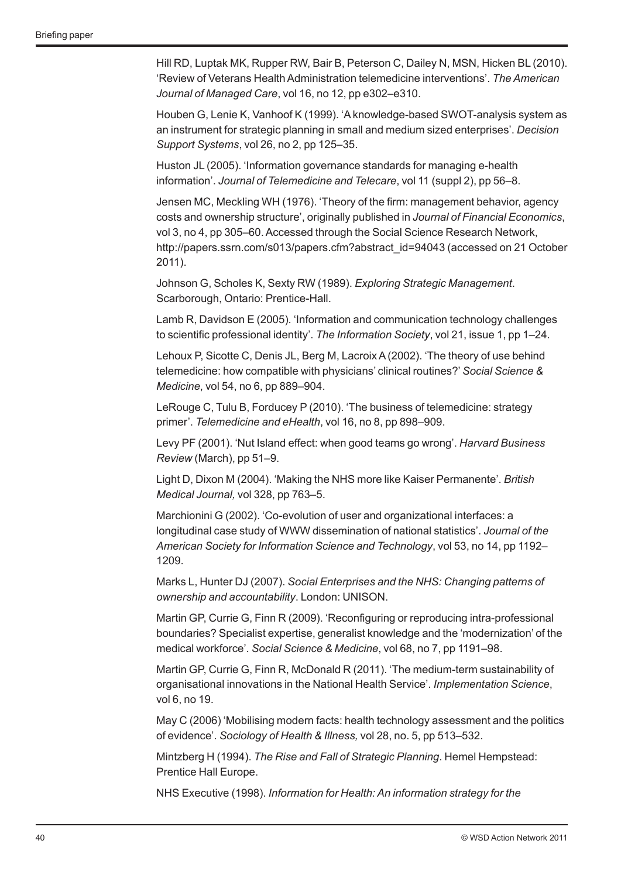Hill RD, Luptak MK, Rupper RW, Bair B, Peterson C, Dailey N, MSN, Hicken BL (2010). 'Review of Veterans Health Administration telemedicine interventions'. *The American Journal of Managed Care*, vol 16, no 12, pp e302–e310.

Houben G, Lenie K, Vanhoof K (1999). 'A knowledge-based SWOT-analysis system as an instrument for strategic planning in small and medium sized enterprises'. *Decision Support Systems*, vol 26, no 2, pp 125–35.

Huston JL (2005). 'Information governance standards for managing e-health information'. *Journal of Telemedicine and Telecare*, vol 11 (suppl 2), pp 56–8.

Jensen MC, Meckling WH (1976). 'Theory of the firm: management behavior, agency costs and ownership structure', originally published in *Journal of Financial Economics*, vol 3, no 4, pp 305–60. Accessed through the Social Science Research Network, http://papers.ssrn.com/s013/papers.cfm?abstract\_id=94043 (accessed on 21 October 2011).

Johnson G, Scholes K, Sexty RW (1989). *Exploring Strategic Management*. Scarborough, Ontario: Prentice-Hall.

Lamb R, Davidson E (2005). 'Information and communication technology challenges to scientific professional identity'. *The Information Society*, vol 21, issue 1, pp 1–24.

Lehoux P, Sicotte C, Denis JL, Berg M, Lacroix A (2002). 'The theory of use behind telemedicine: how compatible with physicians' clinical routines?' *Social Science & Medicine*, vol 54, no 6, pp 889–904.

LeRouge C, Tulu B, Forducey P (2010). 'The business of telemedicine: strategy primer'. *Telemedicine and eHealth*, vol 16, no 8, pp 898–909.

Levy PF (2001). 'Nut Island effect: when good teams go wrong'. *Harvard Business Review* (March), pp 51–9.

Light D, Dixon M (2004). 'Making the NHS more like Kaiser Permanente'. *British Medical Journal,* vol 328, pp 763–5.

Marchionini G (2002). 'Co-evolution of user and organizational interfaces: a longitudinal case study of WWW dissemination of national statistics'. *Journal of the American Society for Information Science and Technology*, vol 53, no 14, pp 1192– 1209.

Marks L, Hunter DJ (2007). *Social Enterprises and the NHS: Changing patterns of ownership and accountability*. London: UNISON.

Martin GP, Currie G, Finn R (2009). 'Reconfiguring or reproducing intra-professional boundaries? Specialist expertise, generalist knowledge and the 'modernization' of the medical workforce'. *Social Science & Medicine*, vol 68, no 7, pp 1191–98.

Martin GP, Currie G, Finn R, McDonald R (2011). 'The medium-term sustainability of organisational innovations in the National Health Service'. *Implementation Science*, vol 6, no 19.

May C (2006) 'Mobilising modern facts: health technology assessment and the politics of evidence'. *Sociology of Health & Illness,* vol 28, no. 5, pp 513–532.

Mintzberg H (1994). *The Rise and Fall of Strategic Planning*. Hemel Hempstead: Prentice Hall Europe.

NHS Executive (1998). *Information for Health: An information strategy for the*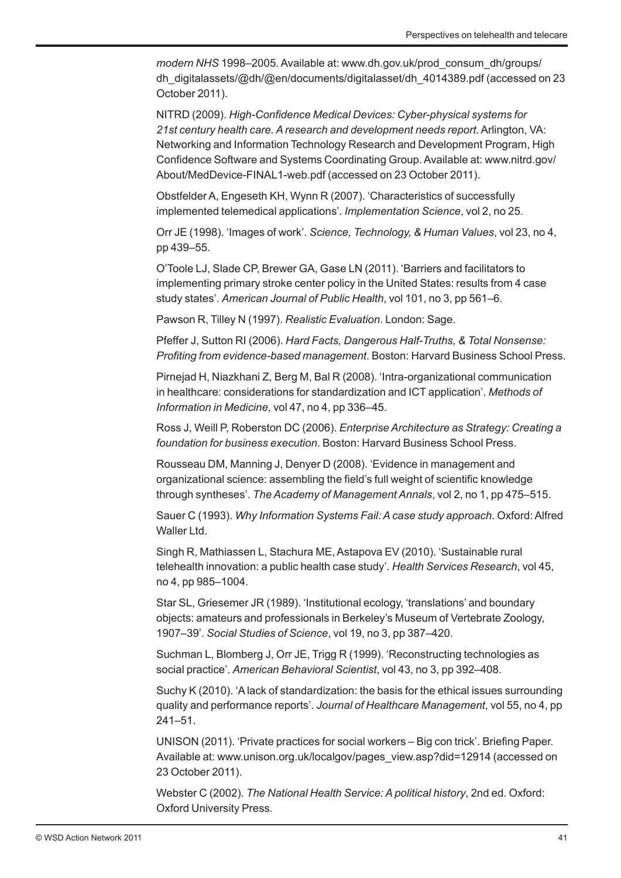*modern NHS* 1998–2005. Available at: www.dh.gov.uk/prod\_consum\_dh/groups/ dh\_digitalassets/@dh/@en/documents/digitalasset/dh\_4014389.pdf (accessed on 23 October 2011).

NITRD (2009). *High-Confidence Medical Devices: Cyber-physical systems for 21st century health care. A research and development needs report*. Arlington, VA: Networking and Information Technology Research and Development Program, High Confidence Software and Systems Coordinating Group. Available at: www.nitrd.gov/ About/MedDevice-FINAL1-web.pdf (accessed on 23 October 2011).

Obstfelder A, Engeseth KH, Wynn R (2007). 'Characteristics of successfully implemented telemedical applications'. *Implementation Science*, vol 2, no 25.

Orr JE (1998). 'Images of work'. *Science, Technology, & Human Values*, vol 23, no 4, pp 439–55.

O'Toole LJ, Slade CP, Brewer GA, Gase LN (2011). 'Barriers and facilitators to implementing primary stroke center policy in the United States: results from 4 case study states'. *American Journal of Public Health*, vol 101, no 3, pp 561–6.

Pawson R, Tilley N (1997). *Realistic Evaluation*. London: Sage.

Pfeffer J, Sutton RI (2006). *Hard Facts, Dangerous Half-Truths, & Total Nonsense: Profiting from evidence-based management*. Boston: Harvard Business School Press.

Pirnejad H, Niazkhani Z, Berg M, Bal R (2008). 'Intra-organizational communication in healthcare: considerations for standardization and ICT application'. *Methods of Information in Medicine*, vol 47, no 4, pp 336–45.

Ross J, Weill P, Roberston DC (2006). *Enterprise Architecture as Strategy: Creating a foundation for business execution*. Boston: Harvard Business School Press.

Rousseau DM, Manning J, Denyer D (2008). 'Evidence in management and organizational science: assembling the field's full weight of scientific knowledge through syntheses'. *The Academy of Management Annals*, vol 2, no 1, pp 475–515.

Sauer C (1993). *Why Information Systems Fail: A case study approach*. Oxford: Alfred Waller Ltd.

Singh R, Mathiassen L, Stachura ME, Astapova EV (2010). 'Sustainable rural telehealth innovation: a public health case study'. *Health Services Research*, vol 45, no 4, pp 985–1004.

Star SL, Griesemer JR (1989). 'Institutional ecology, 'translations' and boundary objects: amateurs and professionals in Berkeley's Museum of Vertebrate Zoology, 1907–39'. *Social Studies of Science*, vol 19, no 3, pp 387–420.

Suchman L, Blomberg J, Orr JE, Trigg R (1999). 'Reconstructing technologies as social practice'. *American Behavioral Scientist*, vol 43, no 3, pp 392–408.

Suchy K (2010). 'A lack of standardization: the basis for the ethical issues surrounding quality and performance reports'. *Journal of Healthcare Management*, vol 55, no 4, pp 241–51.

UNISON (2011). 'Private practices for social workers – Big con trick'. Briefing Paper. Available at: www.unison.org.uk/localgov/pages\_view.asp?did=12914 (accessed on 23 October 2011).

Webster C (2002). *The National Health Service: A political history*, 2nd ed. Oxford: Oxford University Press.